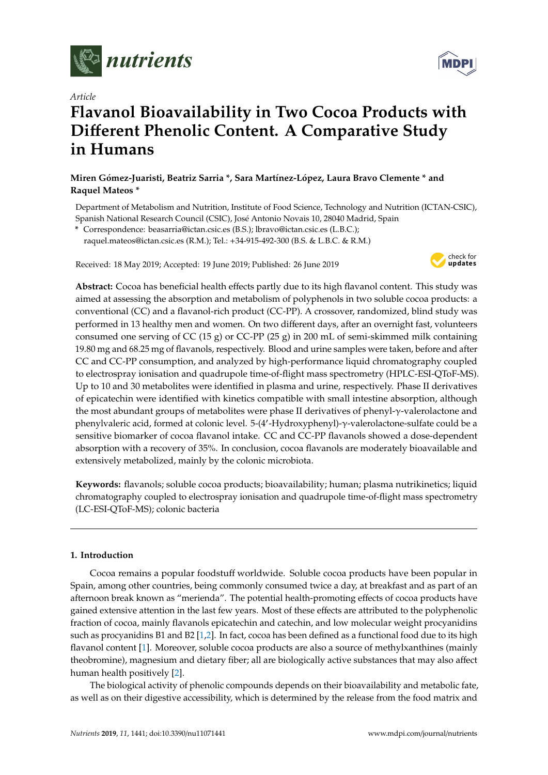

*Article*

# **Flavanol Bioavailability in Two Cocoa Products with Di**ff**erent Phenolic Content. A Comparative Study in Humans**

### **Miren Gómez-Juaristi, Beatriz Sarria \*, Sara Martínez-López, Laura Bravo Clemente \* and Raquel Mateos \***

Department of Metabolism and Nutrition, Institute of Food Science, Technology and Nutrition (ICTAN-CSIC), Spanish National Research Council (CSIC), José Antonio Novais 10, 28040 Madrid, Spain

**\*** Correspondence: beasarria@ictan.csic.es (B.S.); lbravo@ictan.csic.es (L.B.C.); raquel.mateos@ictan.csic.es (R.M.); Tel.: +34-915-492-300 (B.S. & L.B.C. & R.M.)

Received: 18 May 2019; Accepted: 19 June 2019; Published: 26 June 2019



**Abstract:** Cocoa has beneficial health effects partly due to its high flavanol content. This study was aimed at assessing the absorption and metabolism of polyphenols in two soluble cocoa products: a conventional (CC) and a flavanol-rich product (CC-PP). A crossover, randomized, blind study was performed in 13 healthy men and women. On two different days, after an overnight fast, volunteers consumed one serving of CC (15 g) or CC-PP (25 g) in 200 mL of semi-skimmed milk containing 19.80 mg and 68.25 mg of flavanols, respectively. Blood and urine samples were taken, before and after CC and CC-PP consumption, and analyzed by high-performance liquid chromatography coupled to electrospray ionisation and quadrupole time-of-flight mass spectrometry (HPLC-ESI-QToF-MS). Up to 10 and 30 metabolites were identified in plasma and urine, respectively. Phase II derivatives of epicatechin were identified with kinetics compatible with small intestine absorption, although the most abundant groups of metabolites were phase II derivatives of phenyl-γ-valerolactone and phenylvaleric acid, formed at colonic level. 5-(4'-Hydroxyphenyl)-γ-valerolactone-sulfate could be a sensitive biomarker of cocoa flavanol intake. CC and CC-PP flavanols showed a dose-dependent absorption with a recovery of 35%. In conclusion, cocoa flavanols are moderately bioavailable and extensively metabolized, mainly by the colonic microbiota.

**Keywords:** flavanols; soluble cocoa products; bioavailability; human; plasma nutrikinetics; liquid chromatography coupled to electrospray ionisation and quadrupole time-of-flight mass spectrometry (LC-ESI-QToF-MS); colonic bacteria

#### **1. Introduction**

Cocoa remains a popular foodstuff worldwide. Soluble cocoa products have been popular in Spain, among other countries, being commonly consumed twice a day, at breakfast and as part of an afternoon break known as "merienda". The potential health-promoting effects of cocoa products have gained extensive attention in the last few years. Most of these effects are attributed to the polyphenolic fraction of cocoa, mainly flavanols epicatechin and catechin, and low molecular weight procyanidins such as procyanidins B1 and B2 [\[1](#page-16-0)[,2\]](#page-16-1). In fact, cocoa has been defined as a functional food due to its high flavanol content [\[1\]](#page-16-0). Moreover, soluble cocoa products are also a source of methylxanthines (mainly theobromine), magnesium and dietary fiber; all are biologically active substances that may also affect human health positively [\[2\]](#page-16-1).

The biological activity of phenolic compounds depends on their bioavailability and metabolic fate, as well as on their digestive accessibility, which is determined by the release from the food matrix and

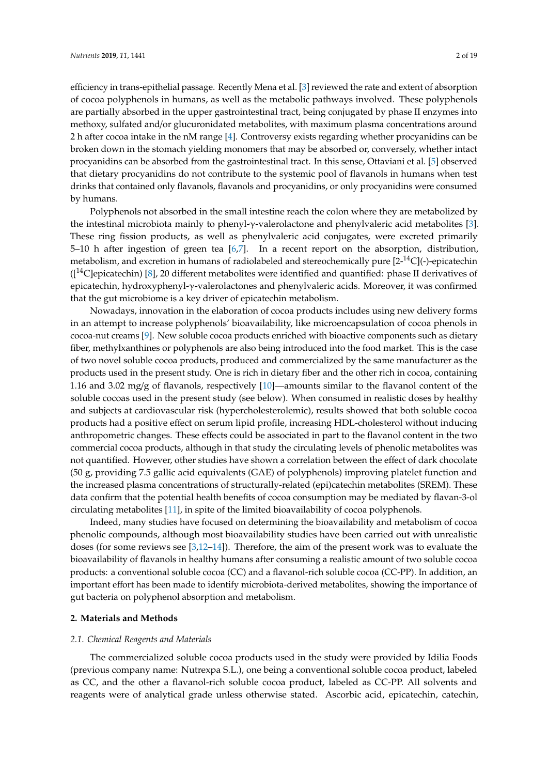by humans.

efficiency in trans-epithelial passage. Recently Mena et al. [\[3\]](#page-17-0) reviewed the rate and extent of absorption of cocoa polyphenols in humans, as well as the metabolic pathways involved. These polyphenols are partially absorbed in the upper gastrointestinal tract, being conjugated by phase II enzymes into methoxy, sulfated and/or glucuronidated metabolites, with maximum plasma concentrations around 2 h after cocoa intake in the nM range [\[4\]](#page-17-1). Controversy exists regarding whether procyanidins can be broken down in the stomach yielding monomers that may be absorbed or, conversely, whether intact procyanidins can be absorbed from the gastrointestinal tract. In this sense, Ottaviani et al. [\[5\]](#page-17-2) observed that dietary procyanidins do not contribute to the systemic pool of flavanols in humans when test drinks that contained only flavanols, flavanols and procyanidins, or only procyanidins were consumed

Polyphenols not absorbed in the small intestine reach the colon where they are metabolized by the intestinal microbiota mainly to phenyl-γ-valerolactone and phenylvaleric acid metabolites [\[3\]](#page-17-0). These ring fission products, as well as phenylvaleric acid conjugates, were excreted primarily 5–10 h after ingestion of green tea [\[6,](#page-17-3)[7\]](#page-17-4). In a recent report on the absorption, distribution, metabolism, and excretion in humans of radiolabeled and stereochemically pure  $[2^{-14}C]$ (-)-epicatechin  $({}^{14}C$ epicatechin) [\[8\]](#page-17-5), 20 different metabolites were identified and quantified: phase II derivatives of epicatechin, hydroxyphenyl-γ-valerolactones and phenylvaleric acids. Moreover, it was confirmed that the gut microbiome is a key driver of epicatechin metabolism.

Nowadays, innovation in the elaboration of cocoa products includes using new delivery forms in an attempt to increase polyphenols' bioavailability, like microencapsulation of cocoa phenols in cocoa-nut creams [\[9\]](#page-17-6). New soluble cocoa products enriched with bioactive components such as dietary fiber, methylxanthines or polyphenols are also being introduced into the food market. This is the case of two novel soluble cocoa products, produced and commercialized by the same manufacturer as the products used in the present study. One is rich in dietary fiber and the other rich in cocoa, containing 1.16 and 3.02 mg/g of flavanols, respectively [\[10\]](#page-17-7)—amounts similar to the flavanol content of the soluble cocoas used in the present study (see below). When consumed in realistic doses by healthy and subjects at cardiovascular risk (hypercholesterolemic), results showed that both soluble cocoa products had a positive effect on serum lipid profile, increasing HDL-cholesterol without inducing anthropometric changes. These effects could be associated in part to the flavanol content in the two commercial cocoa products, although in that study the circulating levels of phenolic metabolites was not quantified. However, other studies have shown a correlation between the effect of dark chocolate (50 g, providing 7.5 gallic acid equivalents (GAE) of polyphenols) improving platelet function and the increased plasma concentrations of structurally-related (epi)catechin metabolites (SREM). These data confirm that the potential health benefits of cocoa consumption may be mediated by flavan-3-ol circulating metabolites [\[11\]](#page-17-8), in spite of the limited bioavailability of cocoa polyphenols.

Indeed, many studies have focused on determining the bioavailability and metabolism of cocoa phenolic compounds, although most bioavailability studies have been carried out with unrealistic doses (for some reviews see  $[3,12-14]$  $[3,12-14]$  $[3,12-14]$ ). Therefore, the aim of the present work was to evaluate the bioavailability of flavanols in healthy humans after consuming a realistic amount of two soluble cocoa products: a conventional soluble cocoa (CC) and a flavanol-rich soluble cocoa (CC-PP). In addition, an important effort has been made to identify microbiota-derived metabolites, showing the importance of gut bacteria on polyphenol absorption and metabolism.

#### **2. Materials and Methods**

#### *2.1. Chemical Reagents and Materials*

The commercialized soluble cocoa products used in the study were provided by Idilia Foods (previous company name: Nutrexpa S.L.), one being a conventional soluble cocoa product, labeled as CC, and the other a flavanol-rich soluble cocoa product, labeled as CC-PP. All solvents and reagents were of analytical grade unless otherwise stated. Ascorbic acid, epicatechin, catechin,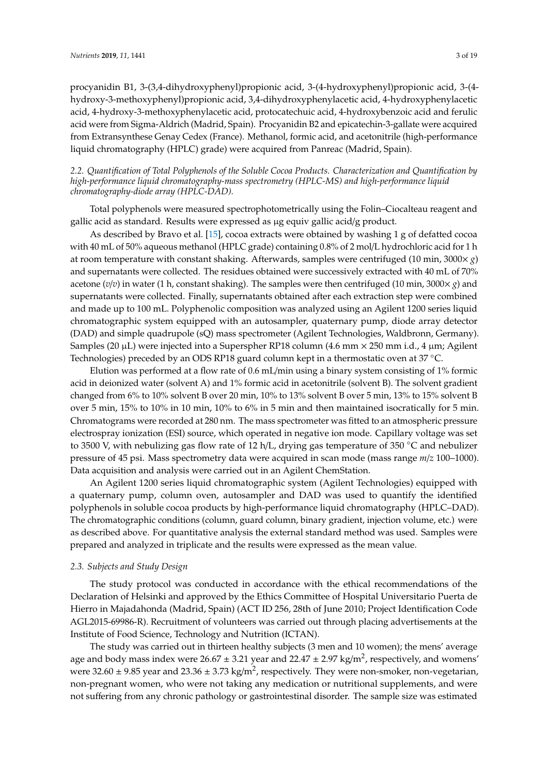procyanidin B1, 3-(3,4-dihydroxyphenyl)propionic acid, 3-(4-hydroxyphenyl)propionic acid, 3-(4 hydroxy-3-methoxyphenyl)propionic acid, 3,4-dihydroxyphenylacetic acid, 4-hydroxyphenylacetic acid, 4-hydroxy-3-methoxyphenylacetic acid, protocatechuic acid, 4-hydroxybenzoic acid and ferulic acid were from Sigma-Aldrich (Madrid, Spain). Procyanidin B2 and epicatechin-3-gallate were acquired from Extransynthese Genay Cedex (France). Methanol, formic acid, and acetonitrile (high-performance liquid chromatography (HPLC) grade) were acquired from Panreac (Madrid, Spain).

#### *2.2. Quantification of Total Polyphenols of the Soluble Cocoa Products. Characterization and Quantification by high-performance liquid chromatography-mass spectrometry (HPLC-MS) and high-performance liquid chromatography-diode array (HPLC-DAD).*

Total polyphenols were measured spectrophotometrically using the Folin–Ciocalteau reagent and gallic acid as standard. Results were expressed as µg equiv gallic acid/g product.

As described by Bravo et al. [\[15\]](#page-17-11), cocoa extracts were obtained by washing 1 g of defatted cocoa with 40 mL of 50% aqueous methanol (HPLC grade) containing 0.8% of 2 mol/L hydrochloric acid for 1 h at room temperature with constant shaking. Afterwards, samples were centrifuged (10 min, 3000× *g*) and supernatants were collected. The residues obtained were successively extracted with 40 mL of 70% acetone (*v*/*v*) in water (1 h, constant shaking). The samples were then centrifuged (10 min, 3000× *g*) and supernatants were collected. Finally, supernatants obtained after each extraction step were combined and made up to 100 mL. Polyphenolic composition was analyzed using an Agilent 1200 series liquid chromatographic system equipped with an autosampler, quaternary pump, diode array detector (DAD) and simple quadrupole (sQ) mass spectrometer (Agilent Technologies, Waldbronn, Germany). Samples (20 µL) were injected into a Superspher RP18 column (4.6 mm × 250 mm i.d., 4 µm; Agilent Technologies) preceded by an ODS RP18 guard column kept in a thermostatic oven at 37 ◦C.

Elution was performed at a flow rate of 0.6 mL/min using a binary system consisting of 1% formic acid in deionized water (solvent A) and 1% formic acid in acetonitrile (solvent B). The solvent gradient changed from 6% to 10% solvent B over 20 min, 10% to 13% solvent B over 5 min, 13% to 15% solvent B over 5 min, 15% to 10% in 10 min, 10% to 6% in 5 min and then maintained isocratically for 5 min. Chromatograms were recorded at 280 nm. The mass spectrometer was fitted to an atmospheric pressure electrospray ionization (ESI) source, which operated in negative ion mode. Capillary voltage was set to 3500 V, with nebulizing gas flow rate of 12 h/L, drying gas temperature of 350 ◦C and nebulizer pressure of 45 psi. Mass spectrometry data were acquired in scan mode (mass range *m*/*z* 100–1000). Data acquisition and analysis were carried out in an Agilent ChemStation.

An Agilent 1200 series liquid chromatographic system (Agilent Technologies) equipped with a quaternary pump, column oven, autosampler and DAD was used to quantify the identified polyphenols in soluble cocoa products by high-performance liquid chromatography (HPLC–DAD). The chromatographic conditions (column, guard column, binary gradient, injection volume, etc.) were as described above. For quantitative analysis the external standard method was used. Samples were prepared and analyzed in triplicate and the results were expressed as the mean value.

#### *2.3. Subjects and Study Design*

The study protocol was conducted in accordance with the ethical recommendations of the Declaration of Helsinki and approved by the Ethics Committee of Hospital Universitario Puerta de Hierro in Majadahonda (Madrid, Spain) (ACT ID 256, 28th of June 2010; Project Identification Code AGL2015-69986-R). Recruitment of volunteers was carried out through placing advertisements at the Institute of Food Science, Technology and Nutrition (ICTAN).

The study was carried out in thirteen healthy subjects (3 men and 10 women); the mens' average age and body mass index were  $26.67 \pm 3.21$  year and  $22.47 \pm 2.97$  kg/m<sup>2</sup>, respectively, and womens' were  $32.60 \pm 9.85$  year and  $23.36 \pm 3.73$  kg/m<sup>2</sup>, respectively. They were non-smoker, non-vegetarian, non-pregnant women, who were not taking any medication or nutritional supplements, and were not suffering from any chronic pathology or gastrointestinal disorder. The sample size was estimated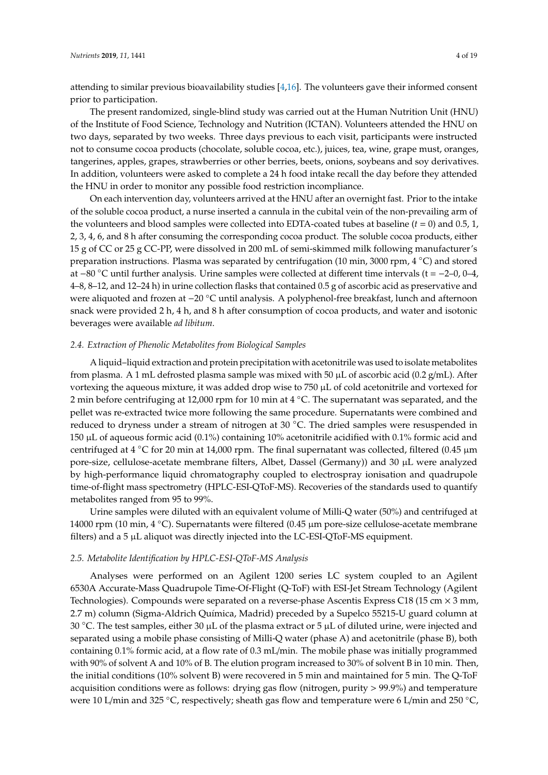attending to similar previous bioavailability studies [\[4](#page-17-1)[,16\]](#page-17-12). The volunteers gave their informed consent prior to participation.

The present randomized, single-blind study was carried out at the Human Nutrition Unit (HNU) of the Institute of Food Science, Technology and Nutrition (ICTAN). Volunteers attended the HNU on two days, separated by two weeks. Three days previous to each visit, participants were instructed not to consume cocoa products (chocolate, soluble cocoa, etc.), juices, tea, wine, grape must, oranges, tangerines, apples, grapes, strawberries or other berries, beets, onions, soybeans and soy derivatives. In addition, volunteers were asked to complete a 24 h food intake recall the day before they attended the HNU in order to monitor any possible food restriction incompliance.

On each intervention day, volunteers arrived at the HNU after an overnight fast. Prior to the intake of the soluble cocoa product, a nurse inserted a cannula in the cubital vein of the non-prevailing arm of the volunteers and blood samples were collected into EDTA-coated tubes at baseline  $(t = 0)$  and 0.5, 1, 2, 3, 4, 6, and 8 h after consuming the corresponding cocoa product. The soluble cocoa products, either 15 g of CC or 25 g CC-PP, were dissolved in 200 mL of semi-skimmed milk following manufacturer's preparation instructions. Plasma was separated by centrifugation (10 min, 3000 rpm, 4 ◦C) and stored at −80 ◦C until further analysis. Urine samples were collected at different time intervals (t = −2–0, 0–4, 4–8, 8–12, and 12–24 h) in urine collection flasks that contained 0.5 g of ascorbic acid as preservative and were aliquoted and frozen at −20 ◦C until analysis. A polyphenol-free breakfast, lunch and afternoon snack were provided 2 h, 4 h, and 8 h after consumption of cocoa products, and water and isotonic beverages were available *ad libitum*.

#### *2.4. Extraction of Phenolic Metabolites from Biological Samples*

A liquid–liquid extraction and protein precipitation with acetonitrile was used to isolate metabolites from plasma. A 1 mL defrosted plasma sample was mixed with 50  $\mu$ L of ascorbic acid (0.2 g/mL). After vortexing the aqueous mixture, it was added drop wise to 750 µL of cold acetonitrile and vortexed for 2 min before centrifuging at 12,000 rpm for 10 min at 4 ℃. The supernatant was separated, and the pellet was re-extracted twice more following the same procedure. Supernatants were combined and reduced to dryness under a stream of nitrogen at 30 ◦C. The dried samples were resuspended in 150 µL of aqueous formic acid (0.1%) containing 10% acetonitrile acidified with 0.1% formic acid and centrifuged at 4  $\degree$ C for 20 min at 14,000 rpm. The final supernatant was collected, filtered (0.45 µm pore-size, cellulose-acetate membrane filters, Albet, Dassel (Germany)) and 30 µL were analyzed by high-performance liquid chromatography coupled to electrospray ionisation and quadrupole time-of-flight mass spectrometry (HPLC-ESI-QToF-MS). Recoveries of the standards used to quantify metabolites ranged from 95 to 99%.

Urine samples were diluted with an equivalent volume of Milli-Q water (50%) and centrifuged at 14000 rpm (10 min, 4 ◦C). Supernatants were filtered (0.45 µm pore-size cellulose-acetate membrane filters) and a  $5 \mu$ L aliquot was directly injected into the LC-ESI-QToF-MS equipment.

#### *2.5. Metabolite Identification by HPLC-ESI-QToF-MS Analysis*

Analyses were performed on an Agilent 1200 series LC system coupled to an Agilent 6530A Accurate-Mass Quadrupole Time-Of-Flight (Q-ToF) with ESI-Jet Stream Technology (Agilent Technologies). Compounds were separated on a reverse-phase Ascentis Express C18 (15 cm  $\times$  3 mm, 2.7 m) column (Sigma-Aldrich Química, Madrid) preceded by a Supelco 55215-U guard column at 30 °C. The test samples, either 30  $\mu$ L of the plasma extract or 5  $\mu$ L of diluted urine, were injected and separated using a mobile phase consisting of Milli-Q water (phase A) and acetonitrile (phase B), both containing 0.1% formic acid, at a flow rate of 0.3 mL/min. The mobile phase was initially programmed with 90% of solvent A and 10% of B. The elution program increased to 30% of solvent B in 10 min. Then, the initial conditions (10% solvent B) were recovered in 5 min and maintained for 5 min. The Q-ToF acquisition conditions were as follows: drying gas flow (nitrogen, purity > 99.9%) and temperature were 10 L/min and 325 °C, respectively; sheath gas flow and temperature were 6 L/min and 250 °C,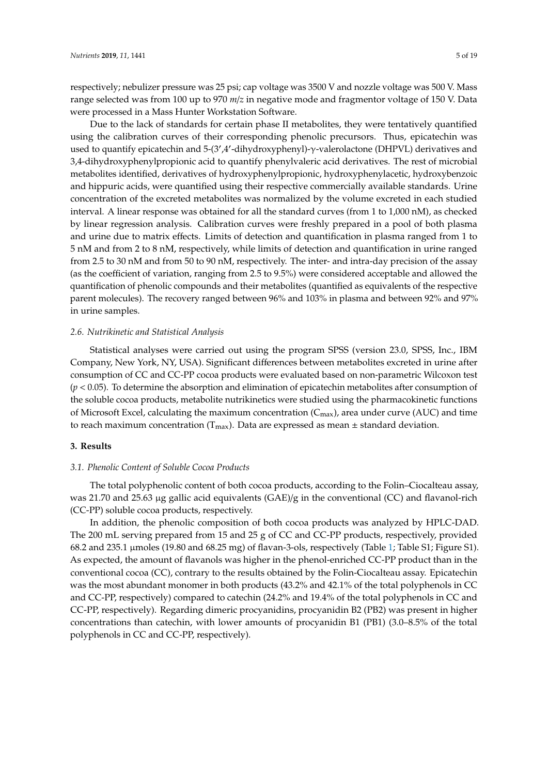respectively; nebulizer pressure was 25 psi; cap voltage was 3500 V and nozzle voltage was 500 V. Mass range selected was from 100 up to 970 *m*/*z* in negative mode and fragmentor voltage of 150 V. Data were processed in a Mass Hunter Workstation Software.

Due to the lack of standards for certain phase II metabolites, they were tentatively quantified using the calibration curves of their corresponding phenolic precursors. Thus, epicatechin was used to quantify epicatechin and 5-(3',4'-dihydroxyphenyl)-γ-valerolactone (DHPVL) derivatives and 3,4-dihydroxyphenylpropionic acid to quantify phenylvaleric acid derivatives. The rest of microbial metabolites identified, derivatives of hydroxyphenylpropionic, hydroxyphenylacetic, hydroxybenzoic and hippuric acids, were quantified using their respective commercially available standards. Urine concentration of the excreted metabolites was normalized by the volume excreted in each studied interval. A linear response was obtained for all the standard curves (from 1 to 1,000 nM), as checked by linear regression analysis. Calibration curves were freshly prepared in a pool of both plasma and urine due to matrix effects. Limits of detection and quantification in plasma ranged from 1 to 5 nM and from 2 to 8 nM, respectively, while limits of detection and quantification in urine ranged from 2.5 to 30 nM and from 50 to 90 nM, respectively. The inter- and intra-day precision of the assay (as the coefficient of variation, ranging from 2.5 to 9.5%) were considered acceptable and allowed the quantification of phenolic compounds and their metabolites (quantified as equivalents of the respective parent molecules). The recovery ranged between 96% and 103% in plasma and between 92% and 97% in urine samples.

#### *2.6. Nutrikinetic and Statistical Analysis*

Statistical analyses were carried out using the program SPSS (version 23.0, SPSS, Inc., IBM Company, New York, NY, USA). Significant differences between metabolites excreted in urine after consumption of CC and CC-PP cocoa products were evaluated based on non-parametric Wilcoxon test (*p* < 0.05). To determine the absorption and elimination of epicatechin metabolites after consumption of the soluble cocoa products, metabolite nutrikinetics were studied using the pharmacokinetic functions of Microsoft Excel, calculating the maximum concentration  $(C_{\text{max}})$ , area under curve (AUC) and time to reach maximum concentration ( $T_{\text{max}}$ ). Data are expressed as mean  $\pm$  standard deviation.

#### **3. Results**

#### *3.1. Phenolic Content of Soluble Cocoa Products*

The total polyphenolic content of both cocoa products, according to the Folin–Ciocalteau assay, was 21.70 and 25.63 µg gallic acid equivalents (GAE)/g in the conventional (CC) and flavanol-rich (CC-PP) soluble cocoa products, respectively.

In addition, the phenolic composition of both cocoa products was analyzed by HPLC-DAD. The 200 mL serving prepared from 15 and 25 g of CC and CC-PP products, respectively, provided 68.2 and 235.1 µmoles (19.80 and 68.25 mg) of flavan-3-ols, respectively (Table [1;](#page-5-0) Table S1; Figure S1). As expected, the amount of flavanols was higher in the phenol-enriched CC-PP product than in the conventional cocoa (CC), contrary to the results obtained by the Folin-Ciocalteau assay. Epicatechin was the most abundant monomer in both products (43.2% and 42.1% of the total polyphenols in CC and CC-PP, respectively) compared to catechin (24.2% and 19.4% of the total polyphenols in CC and CC-PP, respectively). Regarding dimeric procyanidins, procyanidin B2 (PB2) was present in higher concentrations than catechin, with lower amounts of procyanidin B1 (PB1) (3.0–8.5% of the total polyphenols in CC and CC-PP, respectively).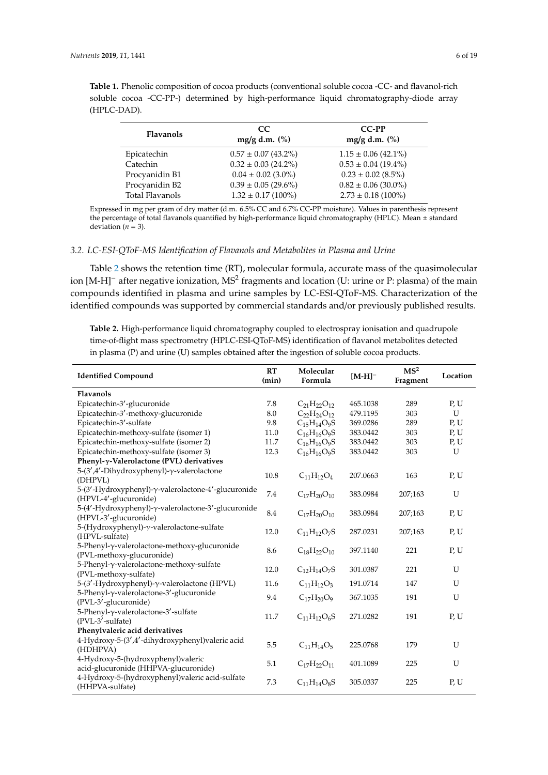|             |  |  |  | soluble cocoa -CC-PP-) determined by high-performance liquid chromatography-diode array |  |
|-------------|--|--|--|-----------------------------------------------------------------------------------------|--|
| (HPLC-DAD). |  |  |  |                                                                                         |  |
|             |  |  |  |                                                                                         |  |

<span id="page-5-0"></span>**Table 1.** Phenolic composition of cocoa products (conventional soluble cocoa -CC- and flavanol-rich

| <b>Flavanols</b>       | CC.<br>$mg/g$ d.m. $(\% )$ | CC-PP<br>mg/g d.m. (%)  |
|------------------------|----------------------------|-------------------------|
| Epicatechin            | $0.57 \pm 0.07$ (43.2%)    | $1.15 \pm 0.06$ (42.1%) |
| Catechin               | $0.32 \pm 0.03$ (24.2%)    | $0.53 \pm 0.04$ (19.4%) |
| Procyanidin B1         | $0.04 \pm 0.02$ (3.0%)     | $0.23 \pm 0.02$ (8.5%)  |
| Procyanidin B2         | $0.39 \pm 0.05$ (29.6%)    | $0.82 \pm 0.06$ (30.0%) |
| <b>Total Flavanols</b> | $1.32 \pm 0.17$ (100%)     | $2.73 \pm 0.18$ (100%)  |

Expressed in mg per gram of dry matter (d.m. 6.5% CC and 6.7% CC-PP moisture). Values in parenthesis represent the percentage of total flavanols quantified by high-performance liquid chromatography (HPLC). Mean ± standard deviation ( $n = 3$ ).

#### *3.2. LC-ESI-QToF-MS Identification of Flavanols and Metabolites in Plasma and Urine*

Table [2](#page-6-0) shows the retention time (RT), molecular formula, accurate mass of the quasimolecular ion [M-H]<sup>–</sup> after negative ionization, MS<sup>2</sup> fragments and location (U: urine or P: plasma) of the main compounds identified in plasma and urine samples by LC-ESI-QToF-MS. Characterization of the identified compounds was supported by commercial standards and/or previously published results.

**Table 2.** High-performance liquid chromatography coupled to electrospray ionisation and quadrupole time-of-flight mass spectrometry (HPLC-ESI-QToF-MS) identification of flavanol metabolites detected in plasma (P) and urine (U) samples obtained after the ingestion of soluble cocoa products.

| <b>Identified Compound</b>                                                   |      | Molecular<br>Formula | $[M-H]$ <sup>-</sup> | MS <sup>2</sup><br>Fragment | Location |
|------------------------------------------------------------------------------|------|----------------------|----------------------|-----------------------------|----------|
| Flavanols                                                                    |      |                      |                      |                             |          |
| Epicatechin-3'-glucuronide                                                   | 7.8  | $C_{21}H_{22}O_{12}$ | 465.1038             | 289                         | P, U     |
| Epicatechin-3'-methoxy-glucuronide                                           | 8.0  | $C_{22}H_{24}O_{12}$ | 479.1195             | 303                         | U        |
| Epicatechin-3'-sulfate                                                       | 9.8  | $C_{15}H_{14}O_9S$   | 369.0286             | 289                         | P, U     |
| Epicatechin-methoxy-sulfate (isomer 1)                                       | 11.0 | $C_{16}H_{16}O_9S$   | 383.0442             | 303                         | P, U     |
| Epicatechin-methoxy-sulfate (isomer 2)                                       | 11.7 | $C_{16}H_{16}O_9S$   | 383.0442             | 303                         | P, U     |
| Epicatechin-methoxy-sulfate (isomer 3)                                       | 12.3 | $C_{16}H_{16}O_9S$   | 383.0442             | 303                         | U        |
| Phenyl- $\gamma$ -Valerolactone (PVL) derivatives                            |      |                      |                      |                             |          |
| 5-(3',4'-Dihydroxyphenyl)-γ-valerolactone<br>(DHPVL)                         | 10.8 | $C_{11}H_{12}O_4$    | 207.0663             | 163                         | P, U     |
| 5-(3'-Hydroxyphenyl)-γ-valerolactone-4'-glucuronide<br>(HPVL-4'-glucuronide) | 7.4  | $C_{17}H_{20}O_{10}$ | 383.0984             | 207;163                     | U        |
| 5-(4'-Hydroxyphenyl)-γ-valerolactone-3'-glucuronide<br>(HPVL-3'-glucuronide) | 8.4  | $C_{17}H_{20}O_{10}$ | 383.0984             | 207;163                     | P, U     |
| 5-(Hydroxyphenyl)-γ-valerolactone-sulfate<br>(HPVL-sulfate)                  | 12.0 | $C_{11}H_{12}O_7S$   | 287.0231             | 207;163                     | P, U     |
| 5-Phenyl-y-valerolactone-methoxy-glucuronide<br>(PVL-methoxy-glucuronide)    | 8.6  | $C_{18}H_{22}O_{10}$ | 397.1140             | 221                         | P, U     |
| 5-Phenyl-γ-valerolactone-methoxy-sulfate<br>(PVL-methoxy-sulfate)            | 12.0 | $C_{12}H_{14}O_7S$   | 301.0387             | 221                         | U        |
| 5-(3'-Hydroxyphenyl)-γ-valerolactone (HPVL)                                  | 11.6 | $C_{11}H_{12}O_3$    | 191.0714             | 147                         | U        |
| 5-Phenyl-y-valerolactone-3'-glucuronide<br>(PVL-3'-glucuronide)              | 9.4  | $C_{17}H_{20}O_9$    | 367.1035             | 191                         | U        |
| 5-Phenyl-y-valerolactone-3'-sulfate<br>(PVL-3'-sulfate)                      | 11.7 | $C_{11}H_{12}O_6S$   | 271.0282             | 191                         | P, U     |
| Phenylvaleric acid derivatives                                               |      |                      |                      |                             |          |
| 4-Hydroxy-5-(3',4'-dihydroxyphenyl)valeric acid<br>(HDHPVA)                  | 5.5  | $C_{11}H_{14}O_5$    | 225.0768             | 179                         | U        |
| 4-Hydroxy-5-(hydroxyphenyl)valeric<br>acid-glucuronide (HHPVA-glucuronide)   | 5.1  | $C_{17}H_{22}O_{11}$ | 401.1089             | 225                         | U        |
| 4-Hydroxy-5-(hydroxyphenyl)valeric acid-sulfate<br>(HHPVA-sulfate)           | 7.3  | $C_{11}H_{14}O_8S$   | 305.0337             | 225                         | P, U     |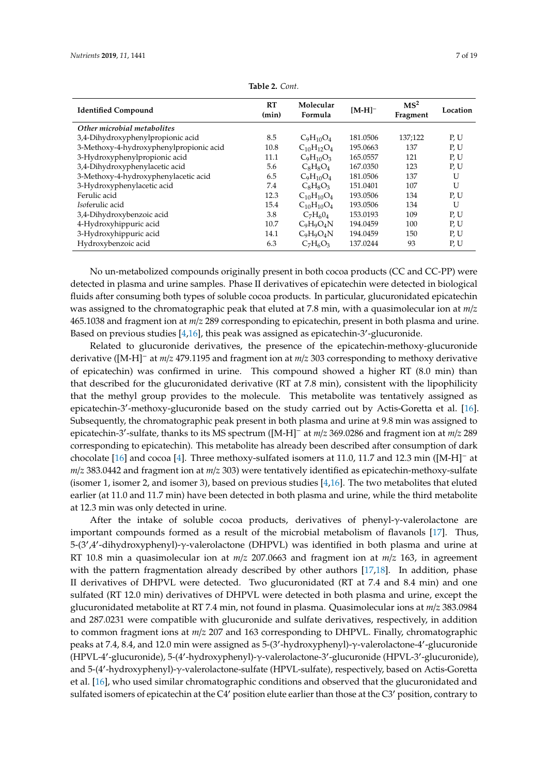<span id="page-6-0"></span>

| <b>Identified Compound</b>              | RT<br>(min) | Molecular<br>Formula | $[M-H]$ <sup>-</sup> | MS <sup>2</sup><br>Fragment | Location |
|-----------------------------------------|-------------|----------------------|----------------------|-----------------------------|----------|
| Other microbial metabolites             |             |                      |                      |                             |          |
| 3,4-Dihydroxyphenylpropionic acid       | 8.5         | $C_9H_{10}O_4$       | 181.0506             | 137;122                     | P, U     |
| 3-Methoxy-4-hydroxyphenylpropionic acid | 10.8        | $C_{10}H_{12}O_4$    | 195.0663             | 137                         | P, U     |
| 3-Hydroxyphenylpropionic acid           | 11.1        | $C_9H_{10}O_3$       | 165.0557             | 121                         | P, U     |
| 3,4-Dihydroxyphenylacetic acid          | 5.6         | $C_8H_8O_4$          | 167.0350             | 123                         | P, U     |
| 3-Methoxy-4-hydroxyphenylacetic acid    | 6.5         | $C_9H_{10}O_4$       | 181.0506             | 137                         | U        |
| 3-Hydroxyphenylacetic acid              | 7.4         | $C_8H_8O_3$          | 151.0401             | 107                         | U        |
| Ferulic acid                            | 12.3        | $C_{10}H_{10}O_4$    | 193.0506             | 134                         | P, U     |
| Isoferulic acid                         | 15.4        | $C_{10}H_{10}O_4$    | 193.0506             | 134                         | U        |
| 3,4-Dihydroxybenzoic acid               | 3.8         | $C_7H_6O_4$          | 153.0193             | 109                         | P, U     |
| 4-Hydroxyhippuric acid                  | 10.7        | $C_9H_9O_4N$         | 194.0459             | 100                         | P, U     |
| 3-Hydroxyhippuric acid                  | 14.1        | $C_9H_9O_4N$         | 194.0459             | 150                         | P, U     |
| Hydroxybenzoic acid                     | 6.3         | $C_7H_6O_3$          | 137.0244             | 93                          | P, U     |

**Table 2.** *Cont.*

No un-metabolized compounds originally present in both cocoa products (CC and CC-PP) were detected in plasma and urine samples. Phase II derivatives of epicatechin were detected in biological fluids after consuming both types of soluble cocoa products. In particular, glucuronidated epicatechin was assigned to the chromatographic peak that eluted at 7.8 min, with a quasimolecular ion at *m*/*z* 465.1038 and fragment ion at *m*/*z* 289 corresponding to epicatechin, present in both plasma and urine. Based on previous studies [\[4](#page-17-1)[,16\]](#page-17-12), this peak was assigned as epicatechin-3'-glucuronide.

Related to glucuronide derivatives, the presence of the epicatechin-methoxy-glucuronide derivative ([M-H]<sup>−</sup> at *m*/*z* 479.1195 and fragment ion at *m*/*z* 303 corresponding to methoxy derivative of epicatechin) was confirmed in urine. This compound showed a higher RT (8.0 min) than that described for the glucuronidated derivative (RT at 7.8 min), consistent with the lipophilicity that the methyl group provides to the molecule. This metabolite was tentatively assigned as epicatechin-3'-methoxy-glucuronide based on the study carried out by Actis-Goretta et al. [\[16\]](#page-17-12). Subsequently, the chromatographic peak present in both plasma and urine at 9.8 min was assigned to epicatechin-3<sup>0</sup> -sulfate, thanks to its MS spectrum ([M-H]<sup>−</sup> at *m*/*z* 369.0286 and fragment ion at *m*/*z* 289 corresponding to epicatechin). This metabolite has already been described after consumption of dark chocolate [\[16\]](#page-17-12) and cocoa [\[4\]](#page-17-1). Three methoxy-sulfated isomers at 11.0, 11.7 and 12.3 min ([M-H]<sup>−</sup> at *m*/*z* 383.0442 and fragment ion at *m*/*z* 303) were tentatively identified as epicatechin-methoxy-sulfate (isomer 1, isomer 2, and isomer 3), based on previous studies [\[4,](#page-17-1)[16\]](#page-17-12). The two metabolites that eluted earlier (at 11.0 and 11.7 min) have been detected in both plasma and urine, while the third metabolite at 12.3 min was only detected in urine.

After the intake of soluble cocoa products, derivatives of phenyl- $\gamma$ -valerolactone are important compounds formed as a result of the microbial metabolism of flavanols [\[17\]](#page-17-13). Thus, 5-(3',4'-dihydroxyphenyl)-γ-valerolactone (DHPVL) was identified in both plasma and urine at RT 10.8 min a quasimolecular ion at *m*/*z* 207.0663 and fragment ion at *m*/*z* 163, in agreement with the pattern fragmentation already described by other authors [\[17,](#page-17-13)[18\]](#page-17-14). In addition, phase II derivatives of DHPVL were detected. Two glucuronidated (RT at 7.4 and 8.4 min) and one sulfated (RT 12.0 min) derivatives of DHPVL were detected in both plasma and urine, except the glucuronidated metabolite at RT 7.4 min, not found in plasma. Quasimolecular ions at *m*/*z* 383.0984 and 287.0231 were compatible with glucuronide and sulfate derivatives, respectively, in addition to common fragment ions at *m*/*z* 207 and 163 corresponding to DHPVL. Finally, chromatographic peaks at 7.4, 8.4, and 12.0 min were assigned as 5-(3'-hydroxyphenyl)-γ-valerolactone-4'-glucuronide .<br>(HPVL-4'-glucuronide), 5-(4'-hydroxyphenyl)-γ-valerolactone-3'-glucuronide (HPVL-3'-glucuronide), and 5-(4'-hydroxyphenyl)-γ-valerolactone-sulfate (HPVL-sulfate), respectively, based on Actis-Goretta et al. [\[16\]](#page-17-12), who used similar chromatographic conditions and observed that the glucuronidated and sulfated isomers of epicatechin at the C4' position elute earlier than those at the C3' position, contrary to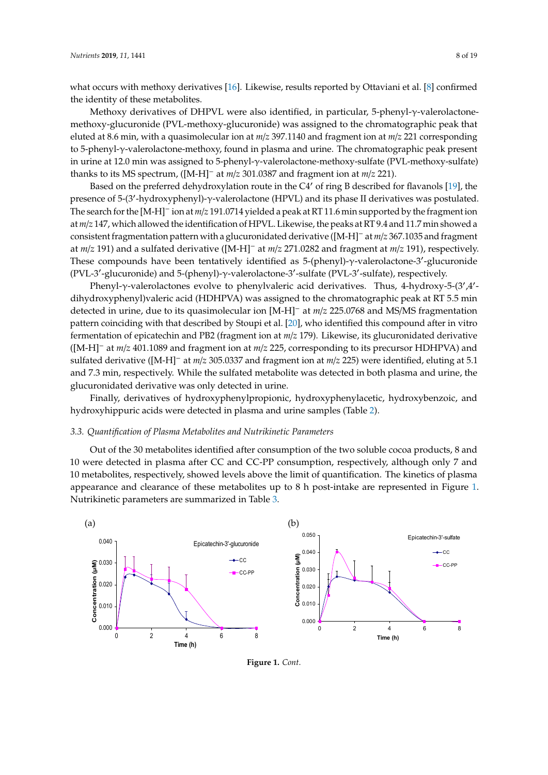what occurs with methoxy derivatives [\[16\]](#page-17-12). Likewise, results reported by Ottaviani et al. [\[8\]](#page-17-5) confirmed the identity of these metabolites.<br> $\frac{1}{2}$ 

Methoxy derivatives of DHPVL were also identified, in particular, 5-phenyl-γ-valerolactonemethoxy-glucuronide (PVL-methoxy-glucuronide) was assigned to the chromatographic peak that eluted at 8.6 min, with a quasimolecular ion at *m*/z 397.1140 and fragment ion at *m*/z 221 corresponding to 5-phenyl-γ-valerolactone-methoxy, found in plasma and urine. The chromatographic peak present in urine at 12.0 min was assigned to 5-phenyl-γ-valerolactone-methoxy-sulfate (PVL-methoxy-sulfate) thanks to its MS spectrum, ([M-H]<sup>-</sup> at  $m/z$  301.0387 and fragment ion at  $m/z$  221).

Based on the preferred dehydroxylation route in the C4' of ring B described for flavanols [\[19\]](#page-17-15), the presence of 5-(3'-hydroxyphenyl)-γ-valerolactone (HPVL) and its phase II derivatives was postulated. .<br>The search for the [M-H]<sup>-</sup> ion at *m/z* 191.0714 yielded a peak at RT 11.6 min supported by the fragment ion at m/z 147, which allowed the identification of HPVL. Likewise, the peaks at RT9.4 and 11.7 min showed a consistent fragmentation pattern with a glucuronidated derivative ([M-H]<sup>-</sup> at *m/z* 367.1035 and fragment at  $m/z$  191) and a sulfated derivative ([M-H]<sup>-</sup> at  $m/z$  271.0282 and fragment at  $m/z$  191), respectively. These compounds have been tentatively identified as 5-(phenyl)-γ-valerolactone-3'-glucuronide (PVL-3'-glucuronide) and 5-(phenyl)-γ-valerolactone-3'-sulfate (PVL-3'-sulfate), respectively.

Phenyl-γ-valerolactones evolve to phenylvaleric acid derivatives. Thus, 4-hydroxy-5-(3',4'dihydroxyphenyl)valeric acid (HDHPVA) was assigned to the chromatographic peak at RT 5.5 min detected in urine, due to its quasimolecular ion [M-H]<sup>-</sup> at *m*/*z* 225.0768 and MS/MS fragmentation pattern coinciding with that described by Stoupi et al. [\[20\]](#page-17-16), who identified this compound after in vitro fermentation of epicatechin and PB2 (fragment ion at  $m/z$  179). Likewise, its glucuronidated derivative ([M-H]<sup>-</sup> at  $m/z$  401.1089 and fragment ion at  $m/z$  225, corresponding to its precursor HDHPVA) and sulfated derivative ([M-H]<sup>-</sup> at  $m/z$  305.0337 and fragment ion at  $m/z$  225) were identified, eluting at 5.1 and 7.3 min, respectively. While the sulfated metabolite was detected in both plasma and urine, the glucuronidated derivative was only detected in urine.

Finally, derivatives of hydroxyphenylpropionic, hydroxyphenylacetic, hydroxybenzoic, and hydroxyhippuric acids were detected in plasma and urine samples (Table [2\)](#page-6-0). *3.3. Quantification of Plasma Metabolites and Nutrikinetic Parameters* 

## 3.3. Quantification of Plasma Metabolites and Nutrikinetic Parameters

Out of the 30 metabolites identified after consumption of the two soluble cocoa products, 8 and 10 were detected in plasma after CC and CC-PP consumption, respectively, although only 7 and 10 metabolites, respectively, showed levels above the limit of quantification. The kinetics of plasma appearance and clearance of these metabolites up to 8 h post-intake are represented in Figure [1.](#page-8-0) Nutrikinetic parameters are summarized in Table [3.](#page-9-0)



**Figure 1.** *Cont*.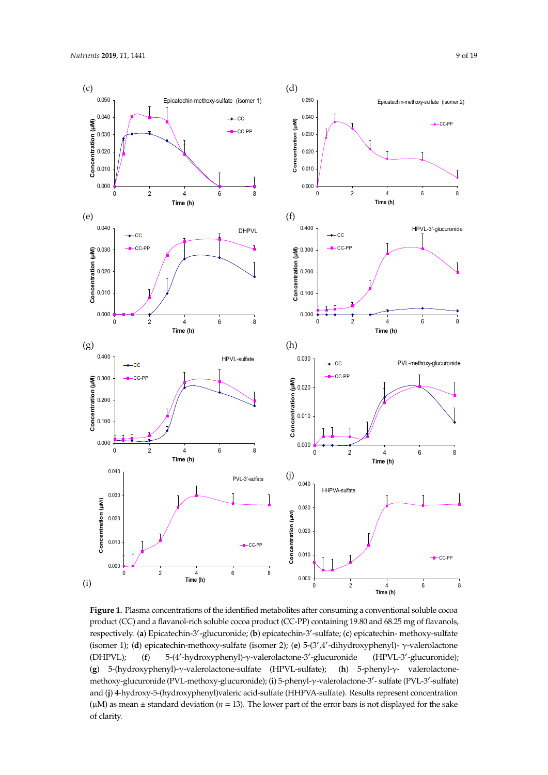<span id="page-8-0"></span>

**Figure 1.** Plasma concentrations of the identified metabolites after consuming a conventional soluble **Figure 1.** Plasma concentrations of the identified metabolites after consuming a conventional soluble cocoa cocoa product (CC) and a flavanol-rich soluble cocoa product (CC-PP) containing 19.80 and 68.25 mg product (CC) and a flavanol-rich soluble cocoa product (CC-PP) containing 19.80 and 68.25 mg of flavanols, respectively. (a) Epicatechin-3'-glucuronide; (b) epicatechin-3'-sulfate; (c) epicatechin- methoxy-sulfate (isomer 1); (**d**) epicatechin-methoxy-sulfate (isomer 2); (**e**) 5-(3',4'-dihydroxyphenyl)- γ-valerolactone HPVL); (f) 5-(4'-hydroxyphenyl)-γ-valerolactone-3'-glucuronide (HPVL-3'-glucuronide); glucuronide); (g) 5-(hydroxyphenyl)-γ-valerolactone-sulfate (HPVL-sulfate); (h) 5-phenyl-γ-(**g**) 5-(hydroxyphenyl)-γ-valerolactone-sulfate (HPVL-sulfate); (**h**) 5-phenyl-γ- valerolactonemethoxy-glucuronide (PVL-methoxy-glucuronide); (**i**) 5-phenyl-γ-valerolactone-3'- sulfate (PVL-3'-sulfate) and (**j**) 4-hydroxy-5-(hydroxyphenyl)valeric acid-sulfate (HHPVA-sulfate). Results represent concentration (μM) as mean  $±$  standard deviation (*n* = 13). The lower part of the error bars is not displayed for the sake of clarity.  $\blacksquare$  $(DHPVL);$   $(f)$ (HPVL-3'-glucuronide);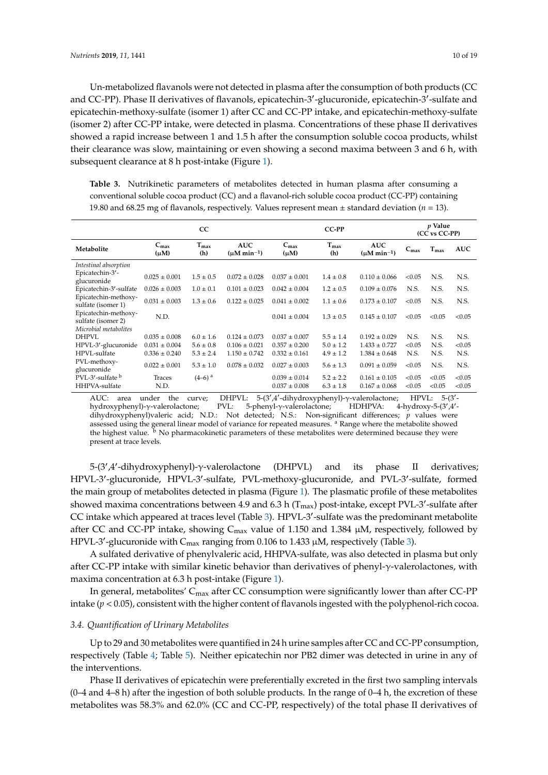Un-metabolized flavanols were not detected in plasma after the consumption of both products (CC and CC-PP). Phase II derivatives of flavanols, epicatechin-3'-glucuronide, epicatechin-3'-sulfate and epicatechin-methoxy-sulfate (isomer 1) after CC and CC-PP intake, and epicatechin-methoxy-sulfate (isomer 2) after CC-PP intake, were detected in plasma. Concentrations of these phase II derivatives showed a rapid increase between 1 and 1.5 h after the consumption soluble cocoa products, whilst their clearance was slow, maintaining or even showing a second maxima between 3 and 6 h, with subsequent clearance at 8 h post-intake (Figure [1\)](#page-8-0).

<span id="page-9-0"></span>**Table 3.** Nutrikinetic parameters of metabolites detected in human plasma after consuming a conventional soluble cocoa product (CC) and a flavanol-rich soluble cocoa product (CC-PP) containing 19.80 and 68.25 mg of flavanols, respectively. Values represent mean  $\pm$  standard deviation ( $n = 13$ ).

|                                                                     | <sub>CC</sub>                 |                         |                                          |                                        | CC-PP                          |                                          |                  | <i>v</i> Value<br>(CC vs CC-PP) |                  |  |
|---------------------------------------------------------------------|-------------------------------|-------------------------|------------------------------------------|----------------------------------------|--------------------------------|------------------------------------------|------------------|---------------------------------|------------------|--|
| Metabolite                                                          | $C_{\text{max}}$<br>$(\mu M)$ | $T_{\text{max}}$<br>(h) | <b>AUC</b><br>$(\mu M \text{ min}^{-1})$ | $C_{\text{max}}$<br>$(\mu M)$          | $T_{\text{max}}$<br>(h)        | <b>AUC</b><br>$(\mu M \text{ min}^{-1})$ | $C_{\text{max}}$ | $T_{\text{max}}$                | <b>AUC</b>       |  |
| Intestinal absorption                                               |                               |                         |                                          |                                        |                                |                                          |                  |                                 |                  |  |
| Epicatechin-3'-<br>glucuronide                                      | $0.025 \pm 0.001$             | $1.5 \pm 0.5$           | $0.072 \pm 0.028$                        | $0.037 \pm 0.001$                      | $1.4 \pm 0.8$                  | $0.110 \pm 0.066$                        | < 0.05           | N.S.                            | N.S.             |  |
| Epicatechin-3'-sulfate                                              | $0.026 \pm 0.003$             | $1.0 \pm 0.1$           | $0.101 \pm 0.023$                        | $0.042 \pm 0.004$                      | $1.2 \pm 0.5$                  | $0.109 \pm 0.076$                        | N.S.             | N.S.                            | N.S.             |  |
| Epicatechin-methoxy-<br>sulfate (isomer 1)                          | $0.031 \pm 0.003$             | $1.3 + 0.6$             | $0.122 \pm 0.025$                        | $0.041 + 0.002$                        | $1.1 \pm 0.6$                  | $0.173 \pm 0.107$                        | < 0.05           | N.S.                            | N.S.             |  |
| Epicatechin-methoxy-<br>sulfate (isomer 2)<br>Microbial metabolites | N.D.                          |                         |                                          | $0.041 \pm 0.004$                      | $1.3 \pm 0.5$                  | $0.145 \pm 0.107$                        | < 0.05           | < 0.05                          | < 0.05           |  |
| <b>DHPVL</b>                                                        | $0.035 \pm 0.008$             | $6.0 \pm 1.6$           | $0.124 \pm 0.073$                        | $0.037 \pm 0.007$                      | $5.5 \pm 1.4$                  | $0.192 \pm 0.029$                        | N.S.             | N.S.                            | N.S.             |  |
| HPVL-3'-glucuronide                                                 | $0.031 \pm 0.004$             | $5.6 \pm 0.8$           | $0.106 \pm 0.021$                        | $0.357 \pm 0.200$                      | $5.0 \pm 1.2$                  | $1.433 \pm 0.727$                        | < 0.05           | N.S.                            | < 0.05           |  |
| HPVL-sulfate                                                        | $0.336 \pm 0.240$             | $5.3 \pm 2.4$           | $1.150 \pm 0.742$                        | $0.332 \pm 0.161$                      | $4.9 \pm 1.2$                  | $1.384 \pm 0.648$                        | N.S.             | N.S.                            | N.S.             |  |
| PVL-methoxy-<br>glucuronide                                         | $0.022 \pm 0.001$             | $5.3 \pm 1.0$           | $0.078 \pm 0.032$                        | $0.027 \pm 0.003$                      | $5.6 \pm 1.3$                  | $0.091 \pm 0.059$                        | < 0.05           | N.S.                            | N.S.             |  |
| PVL-3'-sulfate <sup>b</sup><br>HHPVA-sulfate                        | Traces<br>N.D.                | $(4-6)$ <sup>a</sup>    |                                          | $0.039 \pm 0.014$<br>$0.037 \pm 0.008$ | $5.2 \pm 2.2$<br>$6.3 \pm 1.8$ | $0.161 \pm 0.105$<br>$0.167 \pm 0.068$   | < 0.05<br>< 0.05 | < 0.05<br>< 0.05                | < 0.05<br>< 0.05 |  |

AUC: area under the curve; DHPVL: ,4'-dihydroxyphenyl)-γ-valerolactone; HPVL: 5-(3'  $5-(3)$ hydroxyphenyl)-γ-valerolactone; PVL: 5-phenyl-γ-valerolactone; HDHPVA:  $A^{\prime}$ dihydroxyphenyl)valeric acid; N.D.: Not detected; N.S.: Non-significant differences; *p* values were assessed using the general linear model of variance for repeated measures. <sup>a</sup> Range where the metabolite showed the highest value. <sup>b</sup> No pharmacokinetic parameters of these metabolites were determined because they were present at trace levels.

5-(3',4'-dihydroxyphenyl)-γ-valerolactone (DHPVL) and its phase II derivatives; HPVL-3'-glucuronide, HPVL-3'-sulfate, PVL-methoxy-glucuronide, and PVL-3'-sulfate, formed the main group of metabolites detected in plasma (Figure [1\)](#page-8-0). The plasmatic profile of these metabolites showed maxima concentrations between 4.9 and 6.3 h ( $T_{\text{max}}$ ) post-intake, except PVL-3'-sulfate after CC intake which appeared at traces level (Table [3\)](#page-9-0). HPVL-3'-sulfate was the predominant metabolite after CC and CC-PP intake, showing  $C_{\text{max}}$  value of 1.150 and 1.384  $\mu$ M, respectively, followed by HPVL-3'-glucuronide with  $C_{\text{max}}$  ranging from 0.106 to 1.433  $\mu$ M, respectively (Table [3\)](#page-9-0).

A sulfated derivative of phenylvaleric acid, HHPVA-sulfate, was also detected in plasma but only after CC-PP intake with similar kinetic behavior than derivatives of phenyl-γ-valerolactones, with maxima concentration at 6.3 h post-intake (Figure [1\)](#page-8-0).

In general, metabolites'  $C_{\text{max}}$  after CC consumption were significantly lower than after CC-PP intake (*p* < 0.05), consistent with the higher content of flavanols ingested with the polyphenol-rich cocoa.

#### *3.4. Quantification of Urinary Metabolites*

Up to 29 and 30 metabolites were quantified in 24 h urine samples after CC and CC-PP consumption, respectively (Table [4;](#page-11-0) Table [5\)](#page-12-0). Neither epicatechin nor PB2 dimer was detected in urine in any of the interventions.

Phase II derivatives of epicatechin were preferentially excreted in the first two sampling intervals  $(0-4$  and  $4-8$  h) after the ingestion of both soluble products. In the range of  $0-4$  h, the excretion of these metabolites was 58.3% and 62.0% (CC and CC-PP, respectively) of the total phase II derivatives of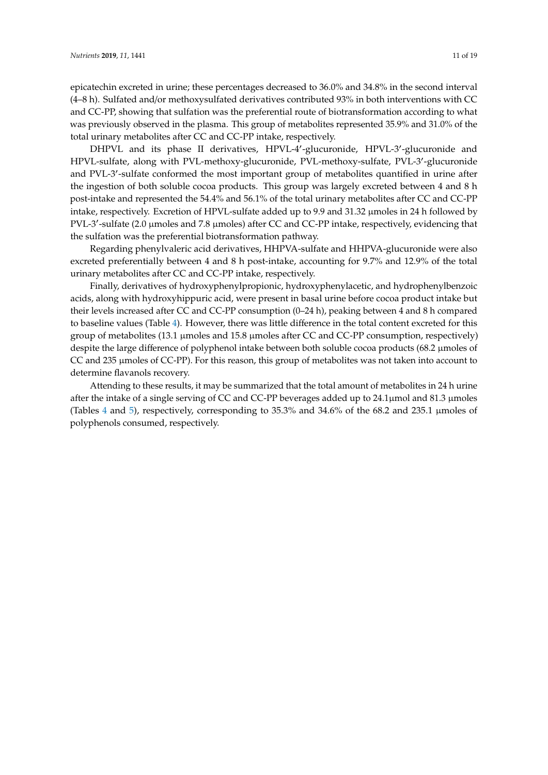epicatechin excreted in urine; these percentages decreased to 36.0% and 34.8% in the second interval (4–8 h). Sulfated and/or methoxysulfated derivatives contributed 93% in both interventions with CC and CC-PP, showing that sulfation was the preferential route of biotransformation according to what was previously observed in the plasma. This group of metabolites represented 35.9% and 31.0% of the total urinary metabolites after CC and CC-PP intake, respectively.

DHPVL and its phase II derivatives, HPVL-4'-glucuronide, HPVL-3'-glucuronide and HPVL-sulfate, along with PVL-methoxy-glucuronide, PVL-methoxy-sulfate, PVL-3'-glucuronide and PVL-3'-sulfate conformed the most important group of metabolites quantified in urine after the ingestion of both soluble cocoa products. This group was largely excreted between 4 and 8 h post-intake and represented the 54.4% and 56.1% of the total urinary metabolites after CC and CC-PP intake, respectively. Excretion of HPVL-sulfate added up to 9.9 and 31.32 µmoles in 24 h followed by PVL-3'-sulfate (2.0 µmoles and 7.8 µmoles) after CC and CC-PP intake, respectively, evidencing that the sulfation was the preferential biotransformation pathway.

Regarding phenylvaleric acid derivatives, HHPVA-sulfate and HHPVA-glucuronide were also excreted preferentially between 4 and 8 h post-intake, accounting for 9.7% and 12.9% of the total urinary metabolites after CC and CC-PP intake, respectively.

Finally, derivatives of hydroxyphenylpropionic, hydroxyphenylacetic, and hydrophenylbenzoic acids, along with hydroxyhippuric acid, were present in basal urine before cocoa product intake but their levels increased after CC and CC-PP consumption (0–24 h), peaking between 4 and 8 h compared to baseline values (Table [4\)](#page-11-0). However, there was little difference in the total content excreted for this group of metabolites (13.1 µmoles and 15.8 µmoles after CC and CC-PP consumption, respectively) despite the large difference of polyphenol intake between both soluble cocoa products (68.2 µmoles of CC and 235 µmoles of CC-PP). For this reason, this group of metabolites was not taken into account to determine flavanols recovery.

Attending to these results, it may be summarized that the total amount of metabolites in 24 h urine after the intake of a single serving of CC and CC-PP beverages added up to 24.1µmol and 81.3 µmoles (Tables [4](#page-11-0) and [5\)](#page-12-0), respectively, corresponding to 35.3% and 34.6% of the 68.2 and 235.1 µmoles of polyphenols consumed, respectively.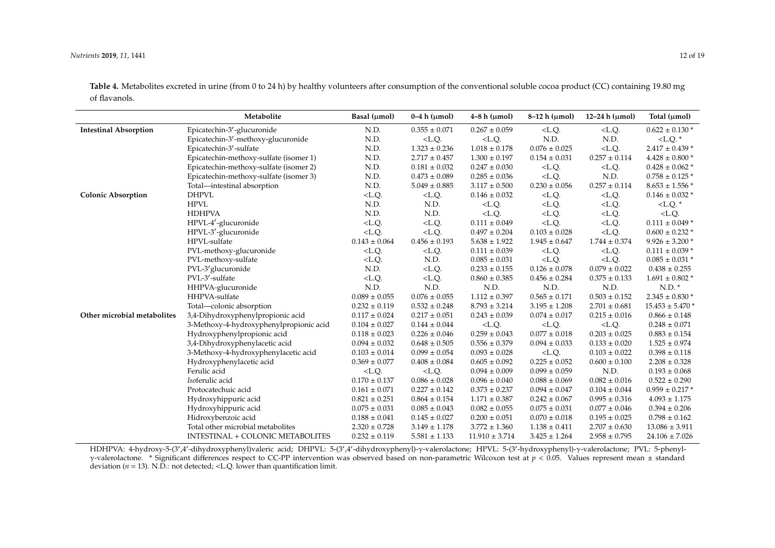**Table 4.** Metabolites excreted in urine (from 0 to 24 h) by healthy volunteers after consumption of the conventional soluble cocoa product (CC) containing 19.80 mg of flavanols.

|                              | Metabolite                              | Basal (µmol)      | $0-4h$ ( $\mu$ mol) | $4-8h$ ( $\mu$ mol) | $8-12$ h ( $\mu$ mol) | 12–24 h $(\mu mol)$ | Total $(\mu mol)$    |
|------------------------------|-----------------------------------------|-------------------|---------------------|---------------------|-----------------------|---------------------|----------------------|
| <b>Intestinal Absorption</b> | Epicatechin-3'-glucuronide              | N.D.              | $0.355 \pm 0.071$   | $0.267 \pm 0.059$   | $<$ L.Q.              | $<$ L.Q.            | $0.622 \pm 0.130$ *  |
|                              | Epicatechin-3'-methoxy-glucuronide      | N.D.              | $<$ L.Q.            | $<$ L.Q.            | N.D.                  | N.D.                | $<$ L.Q. $*$         |
|                              | Epicatechin-3'-sulfate                  | N.D.              | $1.323\pm0.236$     | $1.018 \pm 0.178$   | $0.076 \pm 0.025$     | $<$ L.Q.            | $2.417 \pm 0.439$ *  |
|                              | Epicatechin-methoxy-sulfate (isomer 1)  | N.D.              | $2.717 \pm 0.457$   | $1.300 \pm 0.197$   | $0.154 \pm 0.031$     | $0.257 \pm 0.114$   | $4.428 \pm 0.800*$   |
|                              | Epicatechin-methoxy-sulfate (isomer 2)  | N.D.              | $0.181 \pm 0.032$   | $0.247 \pm 0.030$   | $<$ L.Q.              | $<$ L.Q.            | $0.428 \pm 0.062$ *  |
|                              | Epicatechin-methoxy-sulfate (isomer 3)  | N.D.              | $0.473 \pm 0.089$   | $0.285 \pm 0.036$   | $<$ L.Q.              | N.D.                | $0.758 \pm 0.125$ *  |
|                              | Total-intestinal absorption             | N.D.              | $5.049 \pm 0.885$   | $3.117 \pm 0.500$   | $0.230 \pm 0.056$     | $0.257 \pm 0.114$   | $8.653 \pm 1.556$ *  |
| <b>Colonic Absorption</b>    | <b>DHPVL</b>                            | $<$ L.Q.          | $<$ L.Q.            | $0.146 \pm 0.032$   | $<$ L.Q.              | $<$ L.Q.            | $0.146 \pm 0.032$ *  |
|                              | <b>HPVL</b>                             | N.D.              | N.D.                | $<$ L.Q.            | $<$ L.Q.              | $<$ L.Q.            | $<$ L.Q. $*$         |
|                              | <b>HDHPVA</b>                           | N.D.              | N.D.                | $<$ L.Q.            | $<$ L.Q.              | $<$ L.Q.            | $<$ L.Q.             |
|                              | HPVL-4'-glucuronide                     | $<$ L.Q.          | $<$ L.Q.            | $0.111\pm0.049$     | $<$ L.Q.              | $<$ L.Q.            | $0.111 \pm 0.049$ *  |
|                              | HPVL-3'-glucuronide                     | $<$ L.Q.          | $<$ L.Q.            | $0.497 \pm 0.204$   | $0.103 \pm 0.028$     | $<$ L.Q.            | $0.600 \pm 0.232$ *  |
|                              | HPVL-sulfate                            | $0.143 \pm 0.064$ | $0.456 \pm 0.193$   | $5.638 \pm 1.922$   | $1.945 \pm 0.647$     | $1.744 \pm 0.374$   | $9.926 \pm 3.200$ *  |
|                              | PVL-methoxy-glucuronide                 | $<$ L.Q.          | $<$ L.Q.            | $0.111 \pm 0.039$   | $<$ L.Q.              | $<$ L.Q.            | $0.111 \pm 0.039$ *  |
|                              | PVL-methoxy-sulfate                     | $<$ L.Q.          | N.D.                | $0.085 \pm 0.031$   | $<$ L.Q.              | $<$ L.Q.            | $0.085 \pm 0.031$ *  |
|                              | PVL-3' glucuronide                      | N.D.              | $<$ L.Q.            | $0.233 \pm 0.155$   | $0.126 \pm 0.078$     | $0.079 \pm 0.022$   | $0.438 \pm 0.255$    |
|                              | PVL-3'-sulfate                          | $<$ L.Q.          | $<$ L.Q.            | $0.860 \pm 0.385$   | $0.456 \pm 0.284$     | $0.375 \pm 0.133$   | $1.691 \pm 0.802$ *  |
|                              | HHPVA-glucuronide                       | N.D.              | N.D.                | N.D.                | N.D.                  | N.D.                | N.D.                 |
|                              | HHPVA-sulfate                           | $0.089 \pm 0.055$ | $0.076 \pm 0.055$   | $1.112 \pm 0.397$   | $0.565 \pm 0.171$     | $0.503 \pm 0.152$   | $2.345 \pm 0.830$ *  |
|                              | Total-colonic absorption                | $0.232 \pm 0.119$ | $0.532 \pm 0.248$   | $8.793 \pm 3.214$   | $3.195 \pm 1.208$     | $2.701 \pm 0.681$   | $15.453 \pm 5.470$ * |
| Other microbial metabolites  | 3,4-Dihydroxyphenylpropionic acid       | $0.117 \pm 0.024$ | $0.217 \pm 0.051$   | $0.243 \pm 0.039$   | $0.074 \pm 0.017$     | $0.215 \pm 0.016$   | $0.866 \pm 0.148$    |
|                              | 3-Methoxy-4-hydroxyphenylpropionic acid | $0.104 \pm 0.027$ | $0.144 \pm 0.044$   | $<$ L.Q.            | $<$ L.Q.              | $<$ L.Q.            | $0.248 \pm 0.071$    |
|                              | Hydroxyphenylpropionic acid             | $0.118 \pm 0.023$ | $0.226 \pm 0.046$   | $0.259 \pm 0.043$   | $0.077 \pm 0.018$     | $0.203 \pm 0.025$   | $0.883 \pm 0.154$    |
|                              | 3,4-Dihydroxyphenylacetic acid          | $0.094 \pm 0.032$ | $0.648 \pm 0.505$   | $0.556 \pm 0.379$   | $0.094 \pm 0.033$     | $0.133 \pm 0.020$   | $1.525 \pm 0.974$    |
|                              | 3-Methoxy-4-hydroxyphenylacetic acid    | $0.103 \pm 0.014$ | $0.099 \pm 0.054$   | $0.093 \pm 0.028$   | $<$ L.Q.              | $0.103 \pm 0.022$   | $0.398 \pm 0.118$    |
|                              | Hydroxyphenylacetic acid                | $0.369 \pm 0.077$ | $0.408 \pm 0.084$   | $0.605 \pm 0.092$   | $0.225 \pm 0.052$     | $0.600 \pm 0.100$   | $2.208 \pm 0.328$    |
|                              | Ferulic acid                            | $<$ L.Q.          | $<$ L.Q.            | $0.094 \pm 0.009$   | $0.099 \pm 0.059$     | N.D.                | $0.193\pm0.068$      |
|                              | Isoferulic acid                         | $0.170 \pm 0.137$ | $0.086 \pm 0.028$   | $0.096 \pm 0.040$   | $0.088 \pm 0.069$     | $0.082 \pm 0.016$   | $0.522 \pm 0.290$    |
|                              | Protocatechuic acid                     | $0.161 \pm 0.071$ | $0.227 \pm 0.142$   | $0.373 \pm 0.237$   | $0.094 \pm 0.047$     | $0.104 \pm 0.044$   | $0.959 \pm 0.217$ *  |
|                              | Hydroxyhippuric acid                    | $0.821 \pm 0.251$ | $0.864 \pm 0.154$   | $1.171 \pm 0.387$   | $0.242 \pm 0.067$     | $0.995 \pm 0.316$   | $4.093 \pm 1.175$    |
|                              | Hydroxyhippuric acid                    | $0.075 \pm 0.031$ | $0.085 \pm 0.043$   | $0.082 \pm 0.055$   | $0.075 \pm 0.031$     | $0.077 \pm 0.046$   | $0.394 \pm 0.206$    |
|                              | Hidroxybenzoic acid                     | $0.188 \pm 0.041$ | $0.145 \pm 0.027$   | $0.200 \pm 0.051$   | $0.070 \pm 0.018$     | $0.195 \pm 0.025$   | $0.798 \pm 0.162$    |
|                              | Total other microbial metabolites       | $2.320 \pm 0.728$ | $3.149 \pm 1.178$   | $3.772 \pm 1.360$   | $1.138 \pm 0.411$     | $2.707 \pm 0.630$   | $13.086 \pm 3.911$   |
|                              | <b>INTESTINAL + COLONIC METABOLITES</b> | $0.232 \pm 0.119$ | $5.581 \pm 1.133$   | $11.910 \pm 3.714$  | $3.425 \pm 1.264$     | $2.958 \pm 0.795$   | $24.106 \pm 7.026$   |

<span id="page-11-0"></span>HDHPVA: 4-hydroxy-5-(3',4'-dihydroxyphenyl)valeric acid; DHPVL: 5-(3',4'-dihydroxyphenyl)-γ-valerolactone; HPVL: 5-(3'-hydroxyphenyl)-γ-valerolactone; PVL: 5-phenylγ-valerolactone. \* Significant differences respect to CC-PP intervention was observed based on non-parametric Wilcoxon test at *p* < 0.05. Values represent mean ± standard deviation ( $n = 13$ ). N.D.: not detected; <L.Q. lower than quantification limit.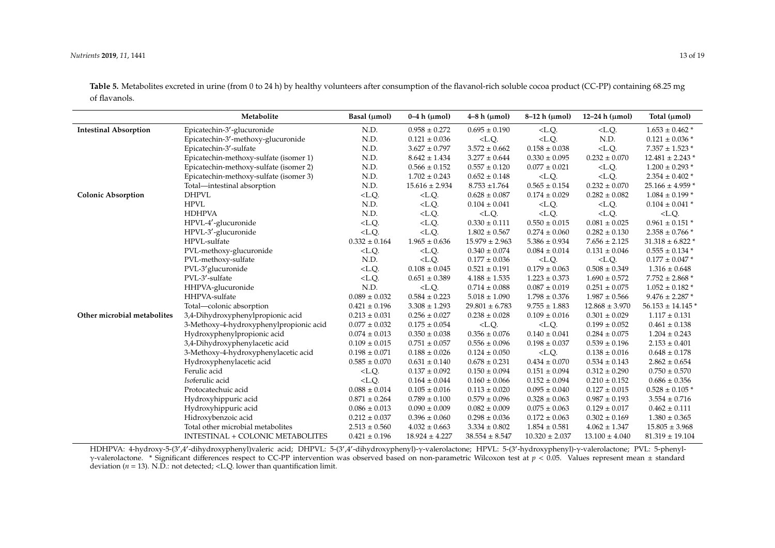**Table 5.** Metabolites excreted in urine (from 0 to 24 h) by healthy volunteers after consumption of the flavanol-rich soluble cocoa product (CC-PP) containing 68.25 mg of flavanols.

|                              | Metabolite                              | Basal (µmol)      | $0-4h$ ( $\mu$ mol) | $4-8h$ ( $\mu$ mol) | $8-12 h (µmol)$    | 12-24 h $(\mu mol)$ | Total (µmol)             |
|------------------------------|-----------------------------------------|-------------------|---------------------|---------------------|--------------------|---------------------|--------------------------|
| <b>Intestinal Absorption</b> | Epicatechin-3'-glucuronide              | N.D.              | $0.958 \pm 0.272$   | $0.695\pm0.190$     | $<$ L.Q.           | $<$ L.Q.            | $1.653 \pm 0.462$ *      |
|                              | Epicatechin-3'-methoxy-glucuronide      | N.D.              | $0.121 \pm 0.036$   | $<$ L.Q.            | $<$ L.Q.           | N.D.                | $0.121 \pm 0.036$ *      |
|                              | Epicatechin-3'-sulfate                  | N.D.              | $3.627 \pm 0.797$   | $3.572 \pm 0.662$   | $0.158 \pm 0.038$  | $<$ L.Q.            | $7.357$ $\pm$ 1.523 $^*$ |
|                              | Epicatechin-methoxy-sulfate (isomer 1)  | N.D.              | $8.642 \pm 1.434$   | $3.277 \pm 0.644$   | $0.330\pm0.095$    | $0.232 \pm 0.070$   | $12.481 \pm 2.243$ *     |
|                              | Epicatechin-methoxy-sulfate (isomer 2)  | N.D.              | $0.566 \pm 0.152$   | $0.557 \pm 0.120$   | $0.077 \pm 0.021$  | $<$ L.Q.            | $1.200 \pm 0.293$ *      |
|                              | Epicatechin-methoxy-sulfate (isomer 3)  | N.D.              | $1.702 \pm 0.243$   | $0.652 \pm 0.148$   | $<$ L.Q.           | $<$ L.Q.            | $2.354 \pm 0.402$ *      |
|                              | Total-intestinal absorption             | N.D.              | $15.616 \pm 2.934$  | $8.753 \pm 1.764$   | $0.565 \pm 0.154$  | $0.232 \pm 0.070$   | $25.166 \pm 4.959$ *     |
| <b>Colonic Absorption</b>    | <b>DHPVL</b>                            | $<$ L.Q.          | $<$ L.Q.            | $0.628 \pm 0.087$   | $0.174 \pm 0.029$  | $0.282 \pm 0.082$   | $1.084 \pm 0.199$ *      |
|                              | <b>HPVL</b>                             | N.D.              | $<$ L.Q.            | $0.104 \pm 0.041$   | $<$ L.Q.           | $<$ L.Q.            | $0.104 \pm 0.041$ *      |
|                              | <b>HDHPVA</b>                           | N.D.              | $<$ L.Q.            | $<$ L.Q.            | $<$ L.Q.           | $<$ L.Q.            | $<$ L.Q.                 |
|                              | HPVL-4'-glucuronide                     | $<$ L.Q.          | $<$ L.Q.            | $0.330 \pm 0.111$   | $0.550 \pm 0.015$  | $0.081 \pm 0.025$   | $0.961 \pm 0.151$ *      |
|                              | HPVL-3'-glucuronide                     | $<$ L.Q.          | $<$ L.Q.            | $1.802 \pm 0.567$   | $0.274 \pm 0.060$  | $0.282 \pm 0.130$   | $2.358 \pm 0.766$ *      |
|                              | HPVL-sulfate                            | $0.332 \pm 0.164$ | $1.965\pm0.636$     | $15.979 \pm 2.963$  | $5.386 \pm 0.934$  | $7.656 \pm 2.125$   | $31.318 \pm 6.822$ *     |
|                              | PVL-methoxy-glucuronide                 | $<$ L.Q.          | $<$ L.Q.            | $0.340 \pm 0.074$   | $0.084 \pm 0.014$  | $0.131 \pm 0.046$   | $0.555 \pm 0.134$ *      |
|                              | PVL-methoxy-sulfate                     | N.D.              | $<$ L.Q.            | $0.177 \pm 0.036$   | $<$ L.Q.           | $<$ L.Q.            | $0.177 \pm 0.047$ *      |
|                              | PVL-3'glucuronide                       | $<$ L.Q.          | $0.108 \pm 0.045$   | $0.521 \pm 0.191$   | $0.179 \pm 0.063$  | $0.508 \pm 0.349$   | $1.316 \pm 0.648$        |
|                              | PVL-3'-sulfate                          | $<$ L.Q.          | $0.651 \pm 0.389$   | $4.188 \pm 1.535$   | $1.223 \pm 0.373$  | $1.690 \pm 0.572$   | $7.752 \pm 2.868$ *      |
|                              | HHPVA-glucuronide                       | N.D.              | $<$ L.Q.            | $0.714 \pm 0.088$   | $0.087 \pm 0.019$  | $0.251 \pm 0.075$   | $1.052 \pm 0.182$ *      |
|                              | HHPVA-sulfate                           | $0.089 \pm 0.032$ | $0.584 \pm 0.223$   | $5.018 \pm 1.090$   | $1.798 \pm 0.376$  | $1.987 \pm 0.566$   | $9.476 \pm 2.287$ *      |
|                              | Total-colonic absorption                | $0.421 \pm 0.196$ | $3.308 \pm 1.293$   | $29.801 \pm 6.783$  | $9.755 \pm 1.883$  | $12.868 \pm 3.970$  | $56.153 \pm 14.145$ *    |
| Other microbial metabolites  | 3,4-Dihydroxyphenylpropionic acid       | $0.213 \pm 0.031$ | $0.256 \pm 0.027$   | $0.238 \pm 0.028$   | $0.109 \pm 0.016$  | $0.301 \pm 0.029$   | $1.117 \pm 0.131$        |
|                              | 3-Methoxy-4-hydroxyphenylpropionic acid | $0.077 \pm 0.032$ | $0.175 \pm 0.054$   | $<$ L.Q.            | $<$ L.Q.           | $0.199 \pm 0.052$   | $0.461 \pm 0.138$        |
|                              | Hydroxyphenylpropionic acid             | $0.074 \pm 0.013$ | $0.350 \pm 0.038$   | $0.356 \pm 0.076$   | $0.140 \pm 0.041$  | $0.284 \pm 0.075$   | $1.204 \pm 0.243$        |
|                              | 3,4-Dihydroxyphenylacetic acid          | $0.109 \pm 0.015$ | $0.751 \pm 0.057$   | $0.556 \pm 0.096$   | $0.198 \pm 0.037$  | $0.539 \pm 0.196$   | $2.153 \pm 0.401$        |
|                              | 3-Methoxy-4-hydroxyphenylacetic acid    | $0.198 \pm 0.071$ | $0.188 \pm 0.026$   | $0.124 \pm 0.050$   | $<$ L.Q.           | $0.138 \pm 0.016$   | $0.648 \pm 0.178$        |
|                              | Hydroxyphenylacetic acid                | $0.585 \pm 0.070$ | $0.631 \pm 0.140$   | $0.678 \pm 0.231$   | $0.434 \pm 0.070$  | $0.534 \pm 0.143$   | $2.862 \pm 0.654$        |
|                              | Ferulic acid                            | $<$ L.Q.          | $0.137 \pm 0.092$   | $0.150 \pm 0.094$   | $0.151 \pm 0.094$  | $0.312 \pm 0.290$   | $0.750 \pm 0.570$        |
|                              | Isoferulic acid                         | $<$ L.Q.          | $0.164 \pm 0.044$   | $0.160 \pm 0.066$   | $0.152 \pm 0.094$  | $0.210 \pm 0.152$   | $0.686 \pm 0.356$        |
|                              | Protocatechuic acid                     | $0.088 \pm 0.014$ | $0.105 \pm 0.016$   | $0.113 \pm 0.020$   | $0.095 \pm 0.040$  | $0.127 \pm 0.015$   | $0.528 \pm 0.105$ *      |
|                              | Hydroxyhippuric acid                    | $0.871 \pm 0.264$ | $0.789 \pm 0.100$   | $0.579 \pm 0.096$   | $0.328 \pm 0.063$  | $0.987 \pm 0.193$   | $3.554 \pm 0.716$        |
|                              | Hydroxyhippuric acid                    | $0.086 \pm 0.013$ | $0.090 \pm 0.009$   | $0.082 \pm 0.009$   | $0.075 \pm 0.063$  | $0.129 \pm 0.017$   | $0.462\pm0.111$          |
|                              | Hidroxybenzoic acid                     | $0.212 \pm 0.037$ | $0.396 \pm 0.060$   | $0.298 \pm 0.036$   | $0.172 \pm 0.063$  | $0.302 \pm 0.169$   | $1.380 \pm 0.365$        |
|                              | Total other microbial metabolites       | $2.513 \pm 0.560$ | $4.032 \pm 0.663$   | $3.334 \pm 0.802$   | $1.854 \pm 0.581$  | $4.062 \pm 1.347$   | $15.805 \pm 3.968$       |
|                              | INTESTINAL + COLONIC METABOLITES        | $0.421 \pm 0.196$ | $18.924 \pm 4.227$  | $38.554 \pm 8.547$  | $10.320 \pm 2.037$ | $13.100 \pm 4.040$  | $81.319 \pm 19.104$      |

<span id="page-12-0"></span>HDHPVA: 4-hydroxy-5-(3',4'-dihydroxyphenyl)valeric acid; DHPVL: 5-(3',4'-dihydroxyphenyl)-γ-valerolactone; HPVL: 5-(3'-hydroxyphenyl)-γ-valerolactone; PVL: 5-phenylγ-valerolactone. \* Significant differences respect to CC-PP intervention was observed based on non-parametric Wilcoxon test at *p* < 0.05. Values represent mean ± standard deviation ( $n = 13$ ). N.D.: not detected; <L.Q. lower than quantification limit.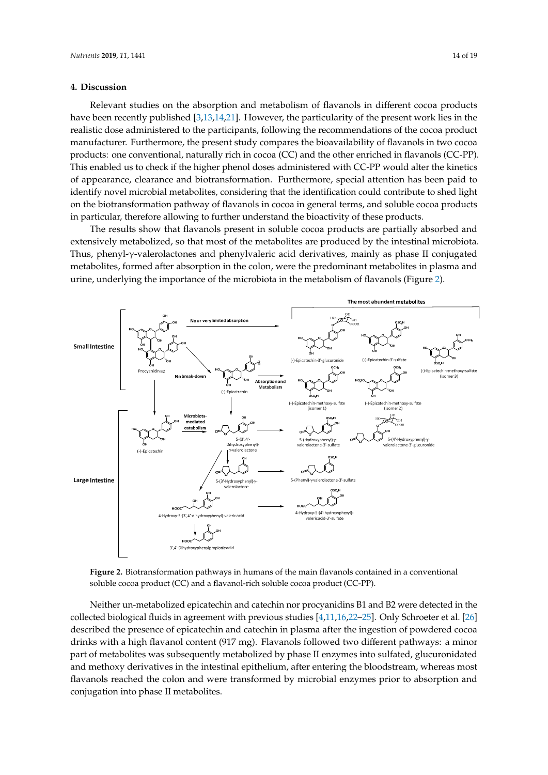#### **4. Discussion 4. Discussion**

Relevant studies on the absorption and metabolism of flavanols in different cocoa products Relevant studies on the absorption and metabolism of flavanols in different cocoa products have have been recently published  $[3,13,14,21]$  $[3,13,14,21]$  $[3,13,14,21]$  $[3,13,14,21]$ . However, the particularity of the present work lies in the realistic dose administered to the participants, following the recommendations of the cocoa product dose administered to the participants, following the recommendations of the cocoa product manufacturer. Furthermore, the present study compares the bioavailability of flavanols in two cocoa manufacturer. Furthermore, the present study compares the bioavailability of flavanols in two cocoa products: one conventional, naturally rich in cocoa (CC) and the other enriched in flavanols (CC-PP). products: one conventional, naturally rich in cocoa (CC) and the other enriched in flavanols (CC-PP). This enabled us to check if the higher phenol doses administered with CC-PP would alter the kinetics This enabled us to check if the higher phenol doses administered with CC-PP would alter the kinetics of appearance, clearance and biotransformation. Furthermore, special attention has been paid to identify novel microbial metabolites, considering that the identification could contribute to shed light on the biotransformation pathway of flavanols in cocoa in general terms, and soluble cocoa products on the biotransformation pathway of flavanols in cocoa in general terms, and soluble cocoa products in particular, therefore allowing to further understand the bioactivity of these products. in particular, therefore allowing to further understand the bioactivity of these products.

The results show that flavanols present in soluble cocoa products are partially absorbed and The results show that flavanols present in soluble cocoa products are partially absorbed and extensively metabolized, so that most of the metabolites are produced by the intestinal microbiota. extensively metabolized, so that most of the metabolites are produced by the intestinal microbiota. Thus, phenyl-γ-valerolactones and phenylvaleric acid derivatives, mainly as phase II conjugated Thus, phenyl-γ-valerolactones and phenylvaleric acid derivatives, mainly as phase II conjugated metabolites, formed after absorption in the colon, were the predominant metabolites in plasma and metabolites, formed after absorption in the colon, were the predominant metabolites in plasma and urine, underlying the importance of the microbiota in the metabolism of flavanols (Figure 2). urine, underlying the importance of the microbiota in the metabolism of flavanols (Figur[e 2](#page-13-0)).

<span id="page-13-0"></span>

soluble cocoa product (CC) and a flavanol-rich soluble cocoa product (CC-PP). **Figure 2.** Biotransformation pathways in humans of the main flavanols contained in a conventional

soluble cocoa product (CC) and a flavanol-rich soluble cocoa product (CC-PP).

collected biological fluids in agreement with previous studies [\[4](#page-17-1)[,11](#page-17-8)[,16,](#page-17-12)[22](#page-18-1)-25]. Only Schroeter et al. [\[26\]](#page-18-3) described the presence of epicatechin and catechin in plasma after the ingestion of powdered cocoa drinks with a high flavanol content (917 mg). Flavanols followed two different pathways: a minor part of metabolites was subsequently metabolized by phase II enzymes into sulfated, glucuronidated and methoxy derivatives in the intestinal epithelium, after entering the bloodstream, whereas most flavanols reached the colon and were transformed by microbial enzymes prior to absorption and conjugation into phase II metabolites.  $\blacksquare$ Neither un-metabolized epicatechin and catechin nor procyanidins B1 and B2 were detected in the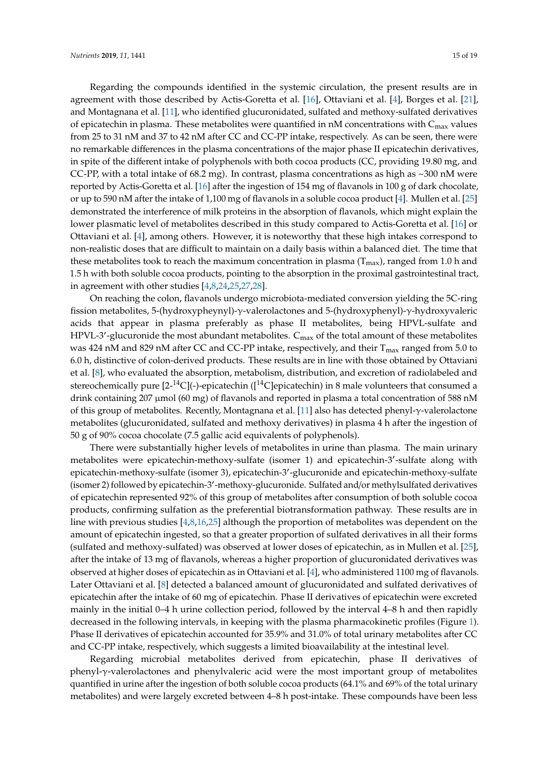Regarding the compounds identified in the systemic circulation, the present results are in agreement with those described by Actis-Goretta et al. [\[16\]](#page-17-12), Ottaviani et al. [\[4\]](#page-17-1), Borges et al. [\[21\]](#page-18-0), and Montagnana et al. [\[11\]](#page-17-8), who identified glucuronidated, sulfated and methoxy-sulfated derivatives of epicatechin in plasma. These metabolites were quantified in nM concentrations with  $C_{\text{max}}$  values from 25 to 31 nM and 37 to 42 nM after CC and CC-PP intake, respectively. As can be seen, there were no remarkable differences in the plasma concentrations of the major phase II epicatechin derivatives, in spite of the different intake of polyphenols with both cocoa products (CC, providing 19.80 mg, and CC-PP, with a total intake of 68.2 mg). In contrast, plasma concentrations as high as ~300 nM were reported by Actis-Goretta et al. [\[16\]](#page-17-12) after the ingestion of 154 mg of flavanols in 100 g of dark chocolate, or up to 590 nM after the intake of 1,100 mg of flavanols in a soluble cocoa product [\[4\]](#page-17-1). Mullen et al. [\[25\]](#page-18-2) demonstrated the interference of milk proteins in the absorption of flavanols, which might explain the lower plasmatic level of metabolites described in this study compared to Actis-Goretta et al. [\[16\]](#page-17-12) or Ottaviani et al. [\[4\]](#page-17-1), among others. However, it is noteworthy that these high intakes correspond to non-realistic doses that are difficult to maintain on a daily basis within a balanced diet. The time that these metabolites took to reach the maximum concentration in plasma  $(T_{max})$ , ranged from 1.0 h and 1.5 h with both soluble cocoa products, pointing to the absorption in the proximal gastrointestinal tract, in agreement with other studies [\[4](#page-17-1)[,8](#page-17-5)[,24,](#page-18-4)[25,](#page-18-2)[27,](#page-18-5)[28\]](#page-18-6).

On reaching the colon, flavanols undergo microbiota-mediated conversion yielding the 5C-ring fission metabolites, 5-(hydroxypheynyl)-γ-valerolactones and 5-(hydroxyphenyl)-γ-hydroxyvaleric acids that appear in plasma preferably as phase II metabolites, being HPVL-sulfate and HPVL-3'-glucuronide the most abundant metabolites.  $C_{\text{max}}$  of the total amount of these metabolites was 424 nM and 829 nM after CC and CC-PP intake, respectively, and their  $T_{\text{max}}$  ranged from 5.0 to 6.0 h, distinctive of colon-derived products. These results are in line with those obtained by Ottaviani et al. [\[8\]](#page-17-5), who evaluated the absorption, metabolism, distribution, and excretion of radiolabeled and stereochemically pure  $[2^{-14}C]$ (-)-epicatechin ( $[1^{14}C]$ epicatechin) in 8 male volunteers that consumed a drink containing 207 µmol (60 mg) of flavanols and reported in plasma a total concentration of 588 nM of this group of metabolites. Recently, Montagnana et al. [\[11\]](#page-17-8) also has detected phenyl-γ-valerolactone metabolites (glucuronidated, sulfated and methoxy derivatives) in plasma 4 h after the ingestion of 50 g of 90% cocoa chocolate (7.5 gallic acid equivalents of polyphenols).

There were substantially higher levels of metabolites in urine than plasma. The main urinary metabolites were epicatechin-methoxy-sulfate (isomer 1) and epicatechin-3'-sulfate along with epicatechin-methoxy-sulfate (isomer 3), epicatechin-3'-glucuronide and epicatechin-methoxy-sulfate (isomer 2) followed by epicatechin-3'-methoxy-glucuronide. Sulfated and/or methylsulfated derivatives of epicatechin represented 92% of this group of metabolites after consumption of both soluble cocoa products, confirming sulfation as the preferential biotransformation pathway. These results are in line with previous studies [\[4,](#page-17-1)[8,](#page-17-5)[16,](#page-17-12)[25\]](#page-18-2) although the proportion of metabolites was dependent on the amount of epicatechin ingested, so that a greater proportion of sulfated derivatives in all their forms (sulfated and methoxy-sulfated) was observed at lower doses of epicatechin, as in Mullen et al. [\[25\]](#page-18-2), after the intake of 13 mg of flavanols, whereas a higher proportion of glucuronidated derivatives was observed at higher doses of epicatechin as in Ottaviani et al. [\[4\]](#page-17-1), who administered 1100 mg of flavanols. Later Ottaviani et al. [\[8\]](#page-17-5) detected a balanced amount of glucuronidated and sulfated derivatives of epicatechin after the intake of 60 mg of epicatechin. Phase II derivatives of epicatechin were excreted mainly in the initial 0–4 h urine collection period, followed by the interval 4–8 h and then rapidly decreased in the following intervals, in keeping with the plasma pharmacokinetic profiles (Figure [1\)](#page-8-0). Phase II derivatives of epicatechin accounted for 35.9% and 31.0% of total urinary metabolites after CC and CC-PP intake, respectively, which suggests a limited bioavailability at the intestinal level.

Regarding microbial metabolites derived from epicatechin, phase II derivatives of phenyl-γ-valerolactones and phenylvaleric acid were the most important group of metabolites quantified in urine after the ingestion of both soluble cocoa products (64.1% and 69% of the total urinary metabolites) and were largely excreted between 4–8 h post-intake. These compounds have been less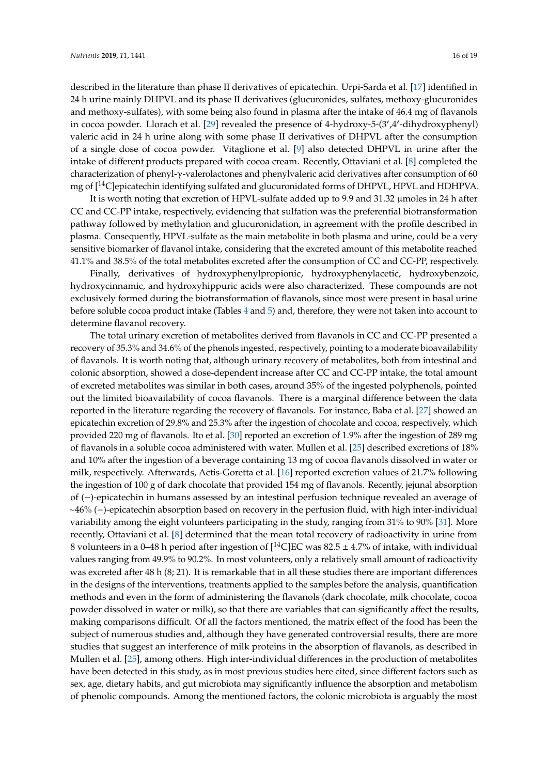described in the literature than phase II derivatives of epicatechin. Urpi-Sarda et al. [\[17\]](#page-17-13) identified in 24 h urine mainly DHPVL and its phase II derivatives (glucuronides, sulfates, methoxy-glucuronides and methoxy-sulfates), with some being also found in plasma after the intake of 46.4 mg of flavanols in cocoa powder. Llorach et al. [\[29\]](#page-18-7) revealed the presence of 4-hydroxy-5-(3',4'-dihydroxyphenyl) valeric acid in 24 h urine along with some phase II derivatives of DHPVL after the consumption of a single dose of cocoa powder. Vitaglione et al. [\[9\]](#page-17-6) also detected DHPVL in urine after the intake of different products prepared with cocoa cream. Recently, Ottaviani et al. [\[8\]](#page-17-5) completed the characterization of phenyl-γ-valerolactones and phenylvaleric acid derivatives after consumption of 60 mg of  $[14C]$ epicatechin identifying sulfated and glucuronidated forms of DHPVL, HPVL and HDHPVA.

It is worth noting that excretion of HPVL-sulfate added up to 9.9 and 31.32 µmoles in 24 h after CC and CC-PP intake, respectively, evidencing that sulfation was the preferential biotransformation pathway followed by methylation and glucuronidation, in agreement with the profile described in plasma. Consequently, HPVL-sulfate as the main metabolite in both plasma and urine, could be a very sensitive biomarker of flavanol intake, considering that the excreted amount of this metabolite reached 41.1% and 38.5% of the total metabolites excreted after the consumption of CC and CC-PP, respectively.

Finally, derivatives of hydroxyphenylpropionic, hydroxyphenylacetic, hydroxybenzoic, hydroxycinnamic, and hydroxyhippuric acids were also characterized. These compounds are not exclusively formed during the biotransformation of flavanols, since most were present in basal urine before soluble cocoa product intake (Tables [4](#page-11-0) and [5\)](#page-12-0) and, therefore, they were not taken into account to determine flavanol recovery.

The total urinary excretion of metabolites derived from flavanols in CC and CC-PP presented a recovery of 35.3% and 34.6% of the phenols ingested, respectively, pointing to a moderate bioavailability of flavanols. It is worth noting that, although urinary recovery of metabolites, both from intestinal and colonic absorption, showed a dose-dependent increase after CC and CC-PP intake, the total amount of excreted metabolites was similar in both cases, around 35% of the ingested polyphenols, pointed out the limited bioavailability of cocoa flavanols. There is a marginal difference between the data reported in the literature regarding the recovery of flavanols. For instance, Baba et al. [\[27\]](#page-18-5) showed an epicatechin excretion of 29.8% and 25.3% after the ingestion of chocolate and cocoa, respectively, which provided 220 mg of flavanols. Ito et al. [\[30\]](#page-18-8) reported an excretion of 1.9% after the ingestion of 289 mg of flavanols in a soluble cocoa administered with water. Mullen et al. [\[25\]](#page-18-2) described excretions of 18% and 10% after the ingestion of a beverage containing 13 mg of cocoa flavanols dissolved in water or milk, respectively. Afterwards, Actis-Goretta et al. [\[16\]](#page-17-12) reported excretion values of 21.7% following the ingestion of 100 g of dark chocolate that provided 154 mg of flavanols. Recently, jejunal absorption of (−)-epicatechin in humans assessed by an intestinal perfusion technique revealed an average of ~46% (−)-epicatechin absorption based on recovery in the perfusion fluid, with high inter-individual variability among the eight volunteers participating in the study, ranging from 31% to 90% [\[31\]](#page-18-9). More recently, Ottaviani et al. [\[8\]](#page-17-5) determined that the mean total recovery of radioactivity in urine from 8 volunteers in a 0–48 h period after ingestion of  $[^{14}$ C]EC was 82.5  $\pm$  4.7% of intake, with individual values ranging from 49.9% to 90.2%. In most volunteers, only a relatively small amount of radioactivity was excreted after 48 h (8; 21). It is remarkable that in all these studies there are important differences in the designs of the interventions, treatments applied to the samples before the analysis, quantification methods and even in the form of administering the flavanols (dark chocolate, milk chocolate, cocoa powder dissolved in water or milk), so that there are variables that can significantly affect the results, making comparisons difficult. Of all the factors mentioned, the matrix effect of the food has been the subject of numerous studies and, although they have generated controversial results, there are more studies that suggest an interference of milk proteins in the absorption of flavanols, as described in Mullen et al. [\[25\]](#page-18-2), among others. High inter-individual differences in the production of metabolites have been detected in this study, as in most previous studies here cited, since different factors such as sex, age, dietary habits, and gut microbiota may significantly influence the absorption and metabolism of phenolic compounds. Among the mentioned factors, the colonic microbiota is arguably the most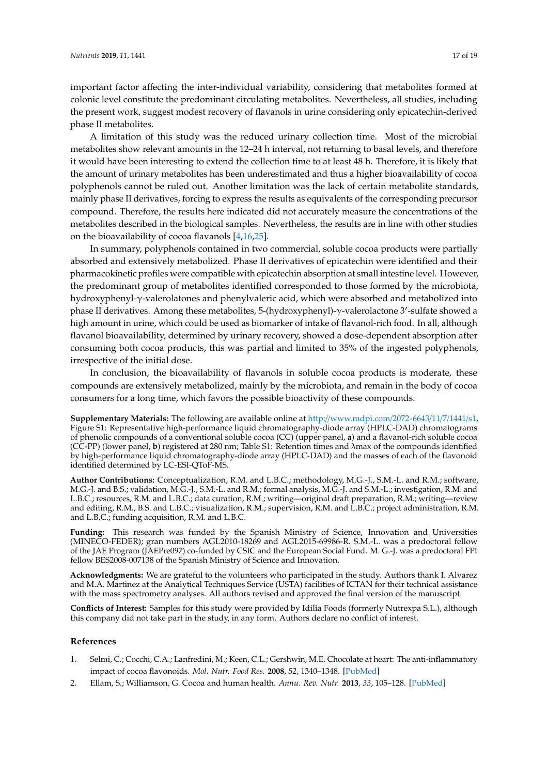important factor affecting the inter-individual variability, considering that metabolites formed at colonic level constitute the predominant circulating metabolites. Nevertheless, all studies, including the present work, suggest modest recovery of flavanols in urine considering only epicatechin-derived phase II metabolites.

A limitation of this study was the reduced urinary collection time. Most of the microbial metabolites show relevant amounts in the 12–24 h interval, not returning to basal levels, and therefore it would have been interesting to extend the collection time to at least 48 h. Therefore, it is likely that the amount of urinary metabolites has been underestimated and thus a higher bioavailability of cocoa polyphenols cannot be ruled out. Another limitation was the lack of certain metabolite standards, mainly phase II derivatives, forcing to express the results as equivalents of the corresponding precursor compound. Therefore, the results here indicated did not accurately measure the concentrations of the metabolites described in the biological samples. Nevertheless, the results are in line with other studies on the bioavailability of cocoa flavanols [\[4,](#page-17-1)[16](#page-17-12)[,25\]](#page-18-2).

In summary, polyphenols contained in two commercial, soluble cocoa products were partially absorbed and extensively metabolized. Phase II derivatives of epicatechin were identified and their pharmacokinetic profiles were compatible with epicatechin absorption at small intestine level. However, the predominant group of metabolites identified corresponded to those formed by the microbiota, hydroxyphenyl-γ-valerolatones and phenylvaleric acid, which were absorbed and metabolized into phase II derivatives. Among these metabolites, 5-(hydroxyphenyl)-γ-valerolactone 3'-sulfate showed a high amount in urine, which could be used as biomarker of intake of flavanol-rich food. In all, although flavanol bioavailability, determined by urinary recovery, showed a dose-dependent absorption after consuming both cocoa products, this was partial and limited to 35% of the ingested polyphenols, irrespective of the initial dose.

In conclusion, the bioavailability of flavanols in soluble cocoa products is moderate, these compounds are extensively metabolized, mainly by the microbiota, and remain in the body of cocoa consumers for a long time, which favors the possible bioactivity of these compounds.

**Supplementary Materials:** The following are available online at http://[www.mdpi.com](http://www.mdpi.com/2072-6643/11/7/1441/s1)/2072-6643/11/7/1441/s1, Figure S1: Representative high-performance liquid chromatography-diode array (HPLC-DAD) chromatograms of phenolic compounds of a conventional soluble cocoa (CC) (upper panel, **a**) and a flavanol-rich soluble cocoa (CC-PP) (lower panel, **b**) registered at 280 nm; Table S1: Retention times and λmax of the compounds identified by high-performance liquid chromatography-diode array (HPLC-DAD) and the masses of each of the flavonoid identified determined by LC-ESI-QToF-MS.

**Author Contributions:** Conceptualization, R.M. and L.B.C.; methodology, M.G.-J., S.M.-L. and R.M.; software, M.G.-J. and B.S.; validation, M.G.-J., S.M.-L. and R.M.; formal analysis, M.G.-J. and S.M.-L.; investigation, R.M. and L.B.C.; resources, R.M. and L.B.C.; data curation, R.M.; writing—original draft preparation, R.M.; writing—review and editing, R.M., B.S. and L.B.C.; visualization, R.M.; supervision, R.M. and L.B.C.; project administration, R.M. and L.B.C.; funding acquisition, R.M. and L.B.C.

**Funding:** This research was funded by the Spanish Ministry of Science, Innovation and Universities (MINECO-FEDER); gran numbers AGL2010-18269 and AGL2015-69986-R. S.M.-L. was a predoctoral fellow of the JAE Program (JAEPre097) co-funded by CSIC and the European Social Fund. M. G.-J. was a predoctoral FPI fellow BES2008-007138 of the Spanish Ministry of Science and Innovation.

**Acknowledgments:** We are grateful to the volunteers who participated in the study. Authors thank I. Alvarez and M.A. Martinez at the Analytical Techniques Service (USTA) facilities of ICTAN for their technical assistance with the mass spectrometry analyses. All authors revised and approved the final version of the manuscript.

**Conflicts of Interest:** Samples for this study were provided by Idilia Foods (formerly Nutrexpa S.L.), although this company did not take part in the study, in any form. Authors declare no conflict of interest.

#### **References**

- <span id="page-16-0"></span>1. Selmi, C.; Cocchi, C.A.; Lanfredini, M.; Keen, C.L.; Gershwin, M.E. Chocolate at heart: The anti-inflammatory impact of cocoa flavonoids. *Mol. Nutr. Food Res.* **2008**, *52*, 1340–1348. [\[PubMed\]](http://www.ncbi.nlm.nih.gov/pubmed/18991246)
- <span id="page-16-1"></span>2. Ellam, S.; Williamson, G. Cocoa and human health. *Annu. Rev. Nutr.* **2013**, *33*, 105–128. [\[PubMed\]](http://www.ncbi.nlm.nih.gov/pubmed/23642199)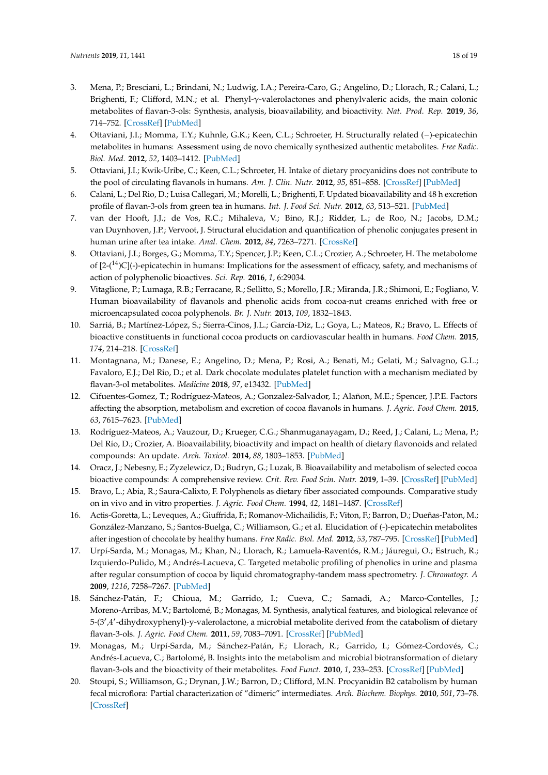- <span id="page-17-0"></span>3. Mena, P.; Bresciani, L.; Brindani, N.; Ludwig, I.A.; Pereira-Caro, G.; Angelino, D.; Llorach, R.; Calani, L.; Brighenti, F.; Clifford, M.N.; et al. Phenyl-γ-valerolactones and phenylvaleric acids, the main colonic metabolites of flavan-3-ols: Synthesis, analysis, bioavailability, and bioactivity. *Nat. Prod. Rep.* **2019**, *36*, 714–752. [\[CrossRef\]](http://dx.doi.org/10.1039/C8NP00062J) [\[PubMed\]](http://www.ncbi.nlm.nih.gov/pubmed/30468210)
- <span id="page-17-1"></span>4. Ottaviani, J.I.; Momma, T.Y.; Kuhnle, G.K.; Keen, C.L.; Schroeter, H. Structurally related (−)-epicatechin metabolites in humans: Assessment using de novo chemically synthesized authentic metabolites. *Free Radic. Biol. Med.* **2012**, *52*, 1403–1412. [\[PubMed\]](http://www.ncbi.nlm.nih.gov/pubmed/22240152)
- <span id="page-17-2"></span>5. Ottaviani, J.I.; Kwik-Uribe, C.; Keen, C.L.; Schroeter, H. Intake of dietary procyanidins does not contribute to the pool of circulating flavanols in humans. *Am. J. Clin. Nutr.* **2012**, *95*, 851–858. [\[CrossRef\]](http://dx.doi.org/10.3945/ajcn.111.028340) [\[PubMed\]](http://www.ncbi.nlm.nih.gov/pubmed/22378733)
- <span id="page-17-3"></span>6. Calani, L.; Del Rio, D.; Luisa Callegari, M.; Morelli, L.; Brighenti, F. Updated bioavailability and 48 h excretion profile of flavan-3-ols from green tea in humans. *Int. J. Food Sci. Nutr.* **2012**, *63*, 513–521. [\[PubMed\]](http://www.ncbi.nlm.nih.gov/pubmed/22133145)
- <span id="page-17-4"></span>7. van der Hooft, J.J.; de Vos, R.C.; Mihaleva, V.; Bino, R.J.; Ridder, L.; de Roo, N.; Jacobs, D.M.; van Duynhoven, J.P.; Vervoot, J. Structural elucidation and quantification of phenolic conjugates present in human urine after tea intake. *Anal. Chem.* **2012**, *84*, 7263–7271. [\[CrossRef\]](http://dx.doi.org/10.1021/ac3017339)
- <span id="page-17-5"></span>8. Ottaviani, J.I.; Borges, G.; Momma, T.Y.; Spencer, J.P.; Keen, C.L.; Crozier, A.; Schroeter, H. The metabolome of  $[2-(14)C]$ (-)-epicatechin in humans: Implications for the assessment of efficacy, safety, and mechanisms of action of polyphenolic bioactives. *Sci. Rep.* **2016**, *1*, 6:29034.
- <span id="page-17-6"></span>9. Vitaglione, P.; Lumaga, R.B.; Ferracane, R.; Sellitto, S.; Morello, J.R.; Miranda, J.R.; Shimoni, E.; Fogliano, V. Human bioavailability of flavanols and phenolic acids from cocoa-nut creams enriched with free or microencapsulated cocoa polyphenols. *Br. J. Nutr.* **2013**, *109*, 1832–1843.
- <span id="page-17-7"></span>10. Sarriá, B.; Martínez-López, S.; Sierra-Cinos, J.L.; García-Diz, L.; Goya, L.; Mateos, R.; Bravo, L. Effects of bioactive constituents in functional cocoa products on cardiovascular health in humans. *Food Chem.* **2015**, *174*, 214–218. [\[CrossRef\]](http://dx.doi.org/10.1016/j.foodchem.2014.11.004)
- <span id="page-17-8"></span>11. Montagnana, M.; Danese, E.; Angelino, D.; Mena, P.; Rosi, A.; Benati, M.; Gelati, M.; Salvagno, G.L.; Favaloro, E.J.; Del Rio, D.; et al. Dark chocolate modulates platelet function with a mechanism mediated by flavan-3-ol metabolites. *Medicine* **2018**, *97*, e13432. [\[PubMed\]](http://www.ncbi.nlm.nih.gov/pubmed/30544424)
- <span id="page-17-9"></span>12. Cifuentes-Gomez, T.; Rodríguez-Mateos, A.; Gonzalez-Salvador, I.; Alañon, M.E.; Spencer, J.P.E. Factors affecting the absorption, metabolism and excretion of cocoa flavanols in humans. *J. Agric. Food Chem.* **2015**, *63*, 7615–7623. [\[PubMed\]](http://www.ncbi.nlm.nih.gov/pubmed/25711140)
- <span id="page-17-17"></span>13. Rodríguez-Mateos, A.; Vauzour, D.; Krueger, C.G.; Shanmuganayagam, D.; Reed, J.; Calani, L.; Mena, P.; Del Río, D.; Crozier, A. Bioavailability, bioactivity and impact on health of dietary flavonoids and related compounds: An update. *Arch. Toxicol.* **2014**, *88*, 1803–1853. [\[PubMed\]](http://www.ncbi.nlm.nih.gov/pubmed/25182418)
- <span id="page-17-10"></span>14. Oracz, J.; Nebesny, E.; Zyzelewicz, D.; Budryn, G.; Luzak, B. Bioavailability and metabolism of selected cocoa bioactive compounds: A comprehensive review. *Crit. Rev. Food Scin. Nutr.* **2019**, 1–39. [\[CrossRef\]](http://dx.doi.org/10.1080/10408398.2019.1619160) [\[PubMed\]](http://www.ncbi.nlm.nih.gov/pubmed/31124371)
- <span id="page-17-11"></span>15. Bravo, L.; Abia, R.; Saura-Calixto, F. Polyphenols as dietary fiber associated compounds. Comparative study on in vivo and in vitro properties. *J. Agric. Food Chem.* **1994**, *42*, 1481–1487. [\[CrossRef\]](http://dx.doi.org/10.1021/jf00043a017)
- <span id="page-17-12"></span>16. Actis-Goretta, L.; Leveques, A.; Giuffrida, F.; Romanov-Michailidis, F.; Viton, F.; Barron, D.; Dueñas-Paton, M.; González-Manzano, S.; Santos-Buelga, C.; Williamson, G.; et al. Elucidation of (-)-epicatechin metabolites after ingestion of chocolate by healthy humans. *Free Radic. Biol. Med.* **2012**, *53*, 787–795. [\[CrossRef\]](http://dx.doi.org/10.1016/j.freeradbiomed.2012.05.023) [\[PubMed\]](http://www.ncbi.nlm.nih.gov/pubmed/22664313)
- <span id="page-17-13"></span>17. Urpí-Sarda, M.; Monagas, M.; Khan, N.; Llorach, R.; Lamuela-Raventós, R.M.; Jáuregui, O.; Estruch, R.; Izquierdo-Pulido, M.; Andrés-Lacueva, C. Targeted metabolic profiling of phenolics in urine and plasma after regular consumption of cocoa by liquid chromatography-tandem mass spectrometry. *J. Chromatogr. A* **2009**, *1216*, 7258–7267. [\[PubMed\]](http://www.ncbi.nlm.nih.gov/pubmed/19671472)
- <span id="page-17-14"></span>18. Sánchez-Patán, F.; Chioua, M.; Garrido, I.; Cueva, C.; Samadi, A.; Marco-Contelles, J.; Moreno-Arribas, M.V.; Bartolomé, B.; Monagas, M. Synthesis, analytical features, and biological relevance of 5-(3',4'-dihydroxyphenyl)-y-valerolactone, a microbial metabolite derived from the catabolism of dietary flavan-3-ols. *J. Agric. Food Chem.* **2011**, *59*, 7083–7091. [\[CrossRef\]](http://dx.doi.org/10.1021/jf2020182) [\[PubMed\]](http://www.ncbi.nlm.nih.gov/pubmed/21627328)
- <span id="page-17-15"></span>19. Monagas, M.; Urpí-Sarda, M.; Sánchez-Patán, F.; Llorach, R.; Garrido, I.; Gómez-Cordovés, C.; Andrés-Lacueva, C.; Bartolomé, B. Insights into the metabolism and microbial biotransformation of dietary flavan-3-ols and the bioactivity of their metabolites. *Food Funct.* **2010**, *1*, 233–253. [\[CrossRef\]](http://dx.doi.org/10.1039/c0fo00132e) [\[PubMed\]](http://www.ncbi.nlm.nih.gov/pubmed/21776473)
- <span id="page-17-16"></span>20. Stoupi, S.; Williamson, G.; Drynan, J.W.; Barron, D.; Clifford, M.N. Procyanidin B2 catabolism by human fecal microflora: Partial characterization of "dimeric" intermediates. *Arch. Biochem. Biophys.* **2010**, *501*, 73–78. [\[CrossRef\]](http://dx.doi.org/10.1016/j.abb.2010.02.009)